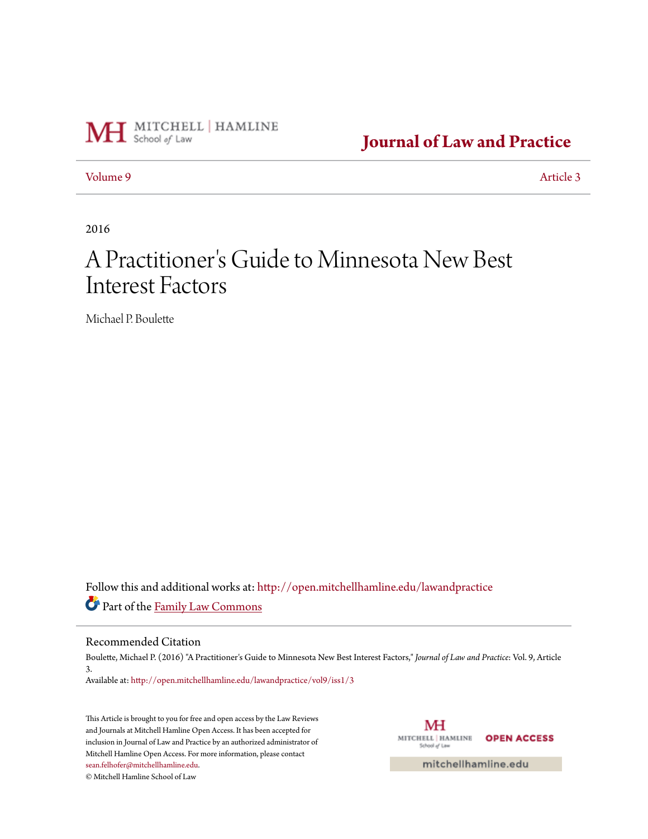

**[Journal of Law and Practice](http://open.mitchellhamline.edu/lawandpractice?utm_source=open.mitchellhamline.edu%2Flawandpractice%2Fvol9%2Fiss1%2F3&utm_medium=PDF&utm_campaign=PDFCoverPages)**

[Volume 9](http://open.mitchellhamline.edu/lawandpractice/vol9?utm_source=open.mitchellhamline.edu%2Flawandpractice%2Fvol9%2Fiss1%2F3&utm_medium=PDF&utm_campaign=PDFCoverPages) [Article 3](http://open.mitchellhamline.edu/lawandpractice/vol9/iss1/3?utm_source=open.mitchellhamline.edu%2Flawandpractice%2Fvol9%2Fiss1%2F3&utm_medium=PDF&utm_campaign=PDFCoverPages)

2016

# A Practitioner 's Guide to Minnesota New Best Interest Factors

Michael P. Boulette

Follow this and additional works at: [http://open.mitchellhamline.edu/lawandpractice](http://open.mitchellhamline.edu/lawandpractice?utm_source=open.mitchellhamline.edu%2Flawandpractice%2Fvol9%2Fiss1%2F3&utm_medium=PDF&utm_campaign=PDFCoverPages) Part of the [Family Law Commons](http://network.bepress.com/hgg/discipline/602?utm_source=open.mitchellhamline.edu%2Flawandpractice%2Fvol9%2Fiss1%2F3&utm_medium=PDF&utm_campaign=PDFCoverPages)

#### Recommended Citation

Boulette, Michael P. (2016) "A Practitioner's Guide to Minnesota New Best Interest Factors," *Journal of Law and Practice*: Vol. 9, Article 3. Available at: [http://open.mitchellhamline.edu/lawandpractice/vol9/iss1/3](http://open.mitchellhamline.edu/lawandpractice/vol9/iss1/3?utm_source=open.mitchellhamline.edu%2Flawandpractice%2Fvol9%2Fiss1%2F3&utm_medium=PDF&utm_campaign=PDFCoverPages)

This Article is brought to you for free and open access by the Law Reviews and Journals at Mitchell Hamline Open Access. It has been accepted for inclusion in Journal of Law and Practice by an authorized administrator of Mitchell Hamline Open Access. For more information, please contact [sean.felhofer@mitchellhamline.edu](mailto:sean.felhofer@mitchellhamline.edu).

© Mitchell Hamline School of Law

MH MITCHELL | HAMLINE **OPEN ACCESS** School of Law

mitchellhamline.edu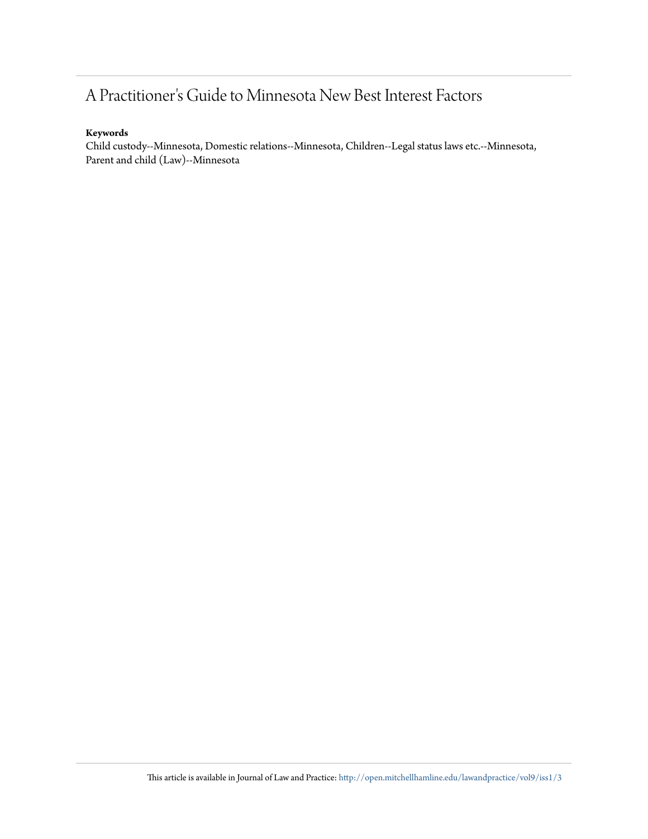## A Practitioner's Guide to Minnesota New Best Interest Factors

#### **Keywords**

Child custody--Minnesota, Domestic relations--Minnesota, Children--Legal status laws etc.--Minnesota, Parent and child (Law)--Minnesota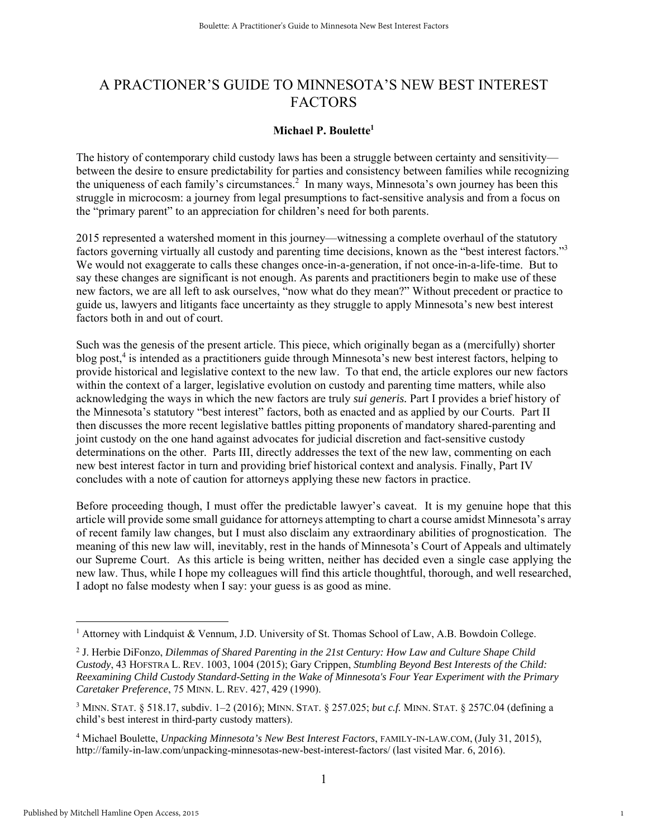### A PRACTIONER'S GUIDE TO MINNESOTA'S NEW BEST INTEREST FACTORS

#### **Michael P. Boulette1**

The history of contemporary child custody laws has been a struggle between certainty and sensitivity between the desire to ensure predictability for parties and consistency between families while recognizing the uniqueness of each family's circumstances.<sup>2</sup> In many ways, Minnesota's own journey has been this struggle in microcosm: a journey from legal presumptions to fact-sensitive analysis and from a focus on the "primary parent" to an appreciation for children's need for both parents.

2015 represented a watershed moment in this journey—witnessing a complete overhaul of the statutory factors governing virtually all custody and parenting time decisions, known as the "best interest factors."<sup>3</sup> We would not exaggerate to calls these changes once-in-a-generation, if not once-in-a-life-time. But to say these changes are significant is not enough. As parents and practitioners begin to make use of these new factors, we are all left to ask ourselves, "now what do they mean?" Without precedent or practice to guide us, lawyers and litigants face uncertainty as they struggle to apply Minnesota's new best interest factors both in and out of court.

Such was the genesis of the present article. This piece, which originally began as a (mercifully) shorter blog post,<sup>4</sup> is intended as a practitioners guide through Minnesota's new best interest factors, helping to provide historical and legislative context to the new law. To that end, the article explores our new factors within the context of a larger, legislative evolution on custody and parenting time matters, while also acknowledging the ways in which the new factors are truly *sui generis.* Part I provides a brief history of the Minnesota's statutory "best interest" factors, both as enacted and as applied by our Courts. Part II then discusses the more recent legislative battles pitting proponents of mandatory shared-parenting and joint custody on the one hand against advocates for judicial discretion and fact-sensitive custody determinations on the other. Parts III, directly addresses the text of the new law, commenting on each new best interest factor in turn and providing brief historical context and analysis. Finally, Part IV concludes with a note of caution for attorneys applying these new factors in practice.

Before proceeding though, I must offer the predictable lawyer's caveat. It is my genuine hope that this article will provide some small guidance for attorneys attempting to chart a course amidst Minnesota's array of recent family law changes, but I must also disclaim any extraordinary abilities of prognostication. The meaning of this new law will, inevitably, rest in the hands of Minnesota's Court of Appeals and ultimately our Supreme Court. As this article is being written, neither has decided even a single case applying the new law. Thus, while I hope my colleagues will find this article thoughtful, thorough, and well researched, I adopt no false modesty when I say: your guess is as good as mine.

<sup>&</sup>lt;sup>1</sup> Attorney with Lindquist & Vennum, J.D. University of St. Thomas School of Law, A.B. Bowdoin College.

<sup>2</sup> J. Herbie DiFonzo, *Dilemmas of Shared Parenting in the 21st Century: How Law and Culture Shape Child Custody*, 43 HOFSTRA L. REV. 1003, 1004 (2015); Gary Crippen, *Stumbling Beyond Best Interests of the Child: Reexamining Child Custody Standard-Setting in the Wake of Minnesota's Four Year Experiment with the Primary Caretaker Preference*, 75 MINN. L. REV. 427, 429 (1990).

<sup>3</sup> MINN. STAT. § 518.17, subdiv. 1–2 (2016); MINN. STAT. § 257.025; *but c.f.* MINN. STAT. § 257C.04 (defining a child's best interest in third-party custody matters).

<sup>4</sup> Michael Boulette, *Unpacking Minnesota's New Best Interest Factors*, FAMILY-IN-LAW.COM, (July 31, 2015), http://family-in-law.com/unpacking-minnesotas-new-best-interest-factors/ (last visited Mar. 6, 2016).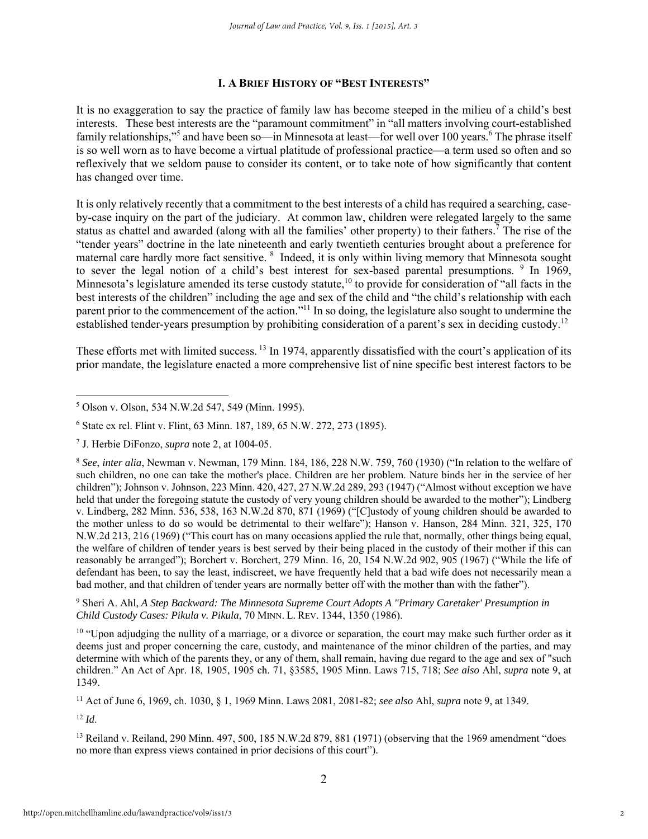#### **I. A BRIEF HISTORY OF "BEST INTERESTS"**

It is no exaggeration to say the practice of family law has become steeped in the milieu of a child's best interests. These best interests are the "paramount commitment" in "all matters involving court-established family relationships,"<sup>5</sup> and have been so—in Minnesota at least—for well over 100 years.<sup>6</sup> The phrase itself is so well worn as to have become a virtual platitude of professional practice—a term used so often and so reflexively that we seldom pause to consider its content, or to take note of how significantly that content has changed over time.

It is only relatively recently that a commitment to the best interests of a child has required a searching, caseby-case inquiry on the part of the judiciary. At common law, children were relegated largely to the same status as chattel and awarded (along with all the families' other property) to their fathers.<sup>7</sup> The rise of the "tender years" doctrine in the late nineteenth and early twentieth centuries brought about a preference for maternal care hardly more fact sensitive. <sup>8</sup> Indeed, it is only within living memory that Minnesota sought to sever the legal notion of a child's best interest for sex-based parental presumptions. <sup>9</sup> In 1969, Minnesota's legislature amended its terse custody statute,<sup>10</sup> to provide for consideration of "all facts in the best interests of the children" including the age and sex of the child and "the child's relationship with each parent prior to the commencement of the action."11 In so doing, the legislature also sought to undermine the established tender-years presumption by prohibiting consideration of a parent's sex in deciding custody.12

These efforts met with limited success.<sup>13</sup> In 1974, apparently dissatisfied with the court's application of its prior mandate, the legislature enacted a more comprehensive list of nine specific best interest factors to be

9 Sheri A. Ahl, *A Step Backward: The Minnesota Supreme Court Adopts A "Primary Caretaker' Presumption in Child Custody Cases: Pikula v. Pikula*, 70 MINN. L. REV. 1344, 1350 (1986).

<sup>10</sup> "Upon adjudging the nullity of a marriage, or a divorce or separation, the court may make such further order as it deems just and proper concerning the care, custody, and maintenance of the minor children of the parties, and may determine with which of the parents they, or any of them, shall remain, having due regard to the age and sex of "such children." An Act of Apr. 18, 1905, 1905 ch. 71, §3585, 1905 Minn. Laws 715, 718; *See also* Ahl, *supra* note 9, at 1349.

11 Act of June 6, 1969, ch. 1030, § 1, 1969 Minn. Laws 2081, 2081-82; *see also* Ahl, *supra* note 9, at 1349.

 $12 \, Id.$ 

<sup>13</sup> Reiland v. Reiland, 290 Minn. 497, 500, 185 N.W.2d 879, 881 (1971) (observing that the 1969 amendment "does no more than express views contained in prior decisions of this court").

 $\overline{a}$ 5 Olson v. Olson, 534 N.W.2d 547, 549 (Minn. 1995).

<sup>6</sup> State ex rel. Flint v. Flint, 63 Minn. 187, 189, 65 N.W. 272, 273 (1895).

<sup>7</sup> J. Herbie DiFonzo, *supra* note 2, at 1004-05.

<sup>8</sup> *See*, *inter alia*, Newman v. Newman, 179 Minn. 184, 186, 228 N.W. 759, 760 (1930) ("In relation to the welfare of such children, no one can take the mother's place. Children are her problem. Nature binds her in the service of her children"); Johnson v. Johnson, 223 Minn. 420, 427, 27 N.W.2d 289, 293 (1947) ("Almost without exception we have held that under the foregoing statute the custody of very young children should be awarded to the mother"); Lindberg v. Lindberg, 282 Minn. 536, 538, 163 N.W.2d 870, 871 (1969) ("[C]ustody of young children should be awarded to the mother unless to do so would be detrimental to their welfare"); Hanson v. Hanson, 284 Minn. 321, 325, 170 N.W.2d 213, 216 (1969) ("This court has on many occasions applied the rule that, normally, other things being equal, the welfare of children of tender years is best served by their being placed in the custody of their mother if this can reasonably be arranged"); Borchert v. Borchert, 279 Minn. 16, 20, 154 N.W.2d 902, 905 (1967) ("While the life of defendant has been, to say the least, indiscreet, we have frequently held that a bad wife does not necessarily mean a bad mother, and that children of tender years are normally better off with the mother than with the father").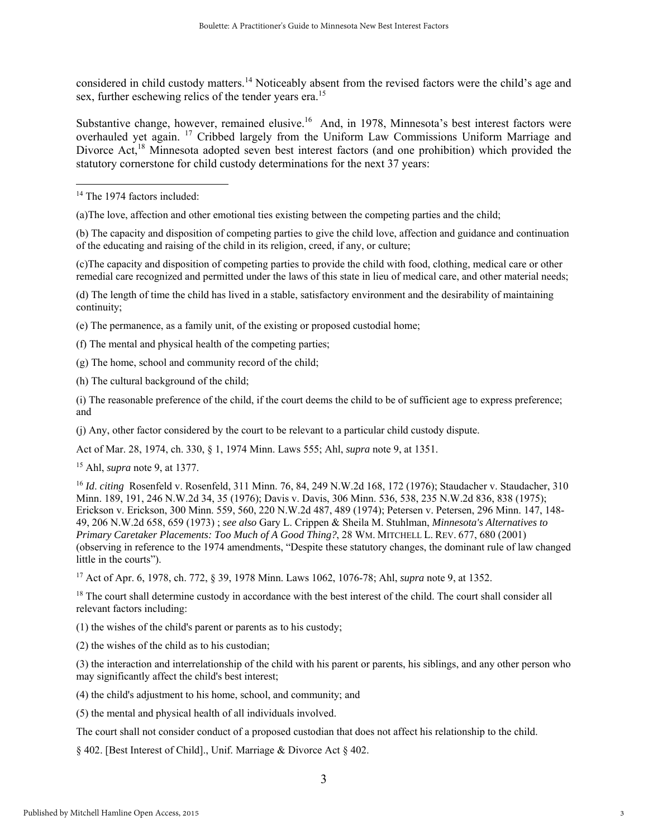considered in child custody matters.<sup>14</sup> Noticeably absent from the revised factors were the child's age and sex, further eschewing relics of the tender years era.<sup>15</sup>

Substantive change, however, remained elusive.<sup>16</sup> And, in 1978, Minnesota's best interest factors were overhauled yet again. 17 Cribbed largely from the Uniform Law Commissions Uniform Marriage and Divorce Act,<sup>18</sup> Minnesota adopted seven best interest factors (and one prohibition) which provided the statutory cornerstone for child custody determinations for the next 37 years:

 $\overline{a}$ 

(a)The love, affection and other emotional ties existing between the competing parties and the child;

(b) The capacity and disposition of competing parties to give the child love, affection and guidance and continuation of the educating and raising of the child in its religion, creed, if any, or culture;

(c)The capacity and disposition of competing parties to provide the child with food, clothing, medical care or other remedial care recognized and permitted under the laws of this state in lieu of medical care, and other material needs;

(d) The length of time the child has lived in a stable, satisfactory environment and the desirability of maintaining continuity;

(e) The permanence, as a family unit, of the existing or proposed custodial home;

(f) The mental and physical health of the competing parties;

(g) The home, school and community record of the child;

(h) The cultural background of the child;

(i) The reasonable preference of the child, if the court deems the child to be of sufficient age to express preference; and

(j) Any, other factor considered by the court to be relevant to a particular child custody dispute.

Act of Mar. 28, 1974, ch. 330, § 1, 1974 Minn. Laws 555; Ahl, *supra* note 9, at 1351.

15 Ahl, *supra* note 9, at 1377.

<sup>16</sup> *Id*. *citing* Rosenfeld v. Rosenfeld, 311 Minn. 76, 84, 249 N.W.2d 168, 172 (1976); Staudacher v. Staudacher, 310 Minn. 189, 191, 246 N.W.2d 34, 35 (1976); Davis v. Davis, 306 Minn. 536, 538, 235 N.W.2d 836, 838 (1975); Erickson v. Erickson, 300 Minn. 559, 560, 220 N.W.2d 487, 489 (1974); Petersen v. Petersen, 296 Minn. 147, 148- 49, 206 N.W.2d 658, 659 (1973) ; *see also* Gary L. Crippen & Sheila M. Stuhlman, *Minnesota's Alternatives to Primary Caretaker Placements: Too Much of A Good Thing?*, 28 WM. MITCHELL L. REV. 677, 680 (2001) (observing in reference to the 1974 amendments, "Despite these statutory changes, the dominant rule of law changed little in the courts").

17 Act of Apr. 6, 1978, ch. 772, § 39, 1978 Minn. Laws 1062, 1076-78; Ahl, *supra* note 9, at 1352.

<sup>18</sup> The court shall determine custody in accordance with the best interest of the child. The court shall consider all relevant factors including:

(1) the wishes of the child's parent or parents as to his custody;

(2) the wishes of the child as to his custodian;

(3) the interaction and interrelationship of the child with his parent or parents, his siblings, and any other person who may significantly affect the child's best interest;

(4) the child's adjustment to his home, school, and community; and

(5) the mental and physical health of all individuals involved.

The court shall not consider conduct of a proposed custodian that does not affect his relationship to the child.

§ 402. [Best Interest of Child]., Unif. Marriage & Divorce Act § 402.

<sup>&</sup>lt;sup>14</sup> The 1974 factors included: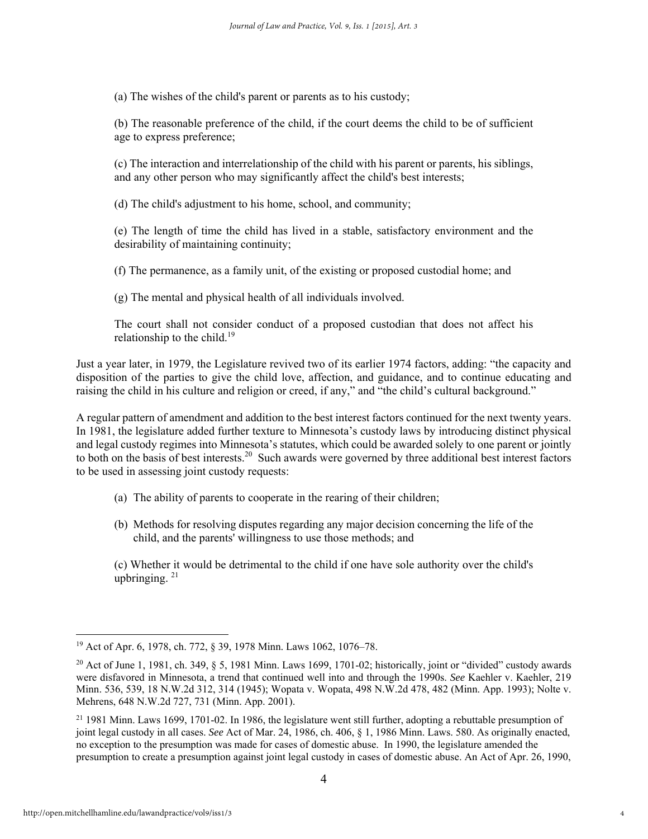(a) The wishes of the child's parent or parents as to his custody;

(b) The reasonable preference of the child, if the court deems the child to be of sufficient age to express preference;

(c) The interaction and interrelationship of the child with his parent or parents, his siblings, and any other person who may significantly affect the child's best interests;

(d) The child's adjustment to his home, school, and community;

(e) The length of time the child has lived in a stable, satisfactory environment and the desirability of maintaining continuity;

(f) The permanence, as a family unit, of the existing or proposed custodial home; and

(g) The mental and physical health of all individuals involved.

The court shall not consider conduct of a proposed custodian that does not affect his relationship to the child.<sup>19</sup>

Just a year later, in 1979, the Legislature revived two of its earlier 1974 factors, adding: "the capacity and disposition of the parties to give the child love, affection, and guidance, and to continue educating and raising the child in his culture and religion or creed, if any," and "the child's cultural background."

A regular pattern of amendment and addition to the best interest factors continued for the next twenty years. In 1981, the legislature added further texture to Minnesota's custody laws by introducing distinct physical and legal custody regimes into Minnesota's statutes, which could be awarded solely to one parent or jointly to both on the basis of best interests.<sup>20</sup> Such awards were governed by three additional best interest factors to be used in assessing joint custody requests:

- (a) The ability of parents to cooperate in the rearing of their children;
- (b) Methods for resolving disputes regarding any major decision concerning the life of the child, and the parents' willingness to use those methods; and

(c) Whether it would be detrimental to the child if one have sole authority over the child's upbringing.  $21$ 

<sup>19</sup> Act of Apr. 6, 1978, ch. 772, § 39, 1978 Minn. Laws 1062, 1076–78.

<sup>&</sup>lt;sup>20</sup> Act of June 1, 1981, ch. 349, § 5, 1981 Minn. Laws 1699, 1701-02; historically, joint or "divided" custody awards were disfavored in Minnesota, a trend that continued well into and through the 1990s. *See* Kaehler v. Kaehler, 219 Minn. 536, 539, 18 N.W.2d 312, 314 (1945); Wopata v. Wopata, 498 N.W.2d 478, 482 (Minn. App. 1993); Nolte v. Mehrens, 648 N.W.2d 727, 731 (Minn. App. 2001).

 $21$  1981 Minn. Laws 1699, 1701-02. In 1986, the legislature went still further, adopting a rebuttable presumption of joint legal custody in all cases. *See* Act of Mar. 24, 1986, ch. 406, § 1, 1986 Minn. Laws. 580. As originally enacted, no exception to the presumption was made for cases of domestic abuse. In 1990, the legislature amended the presumption to create a presumption against joint legal custody in cases of domestic abuse. An Act of Apr. 26, 1990,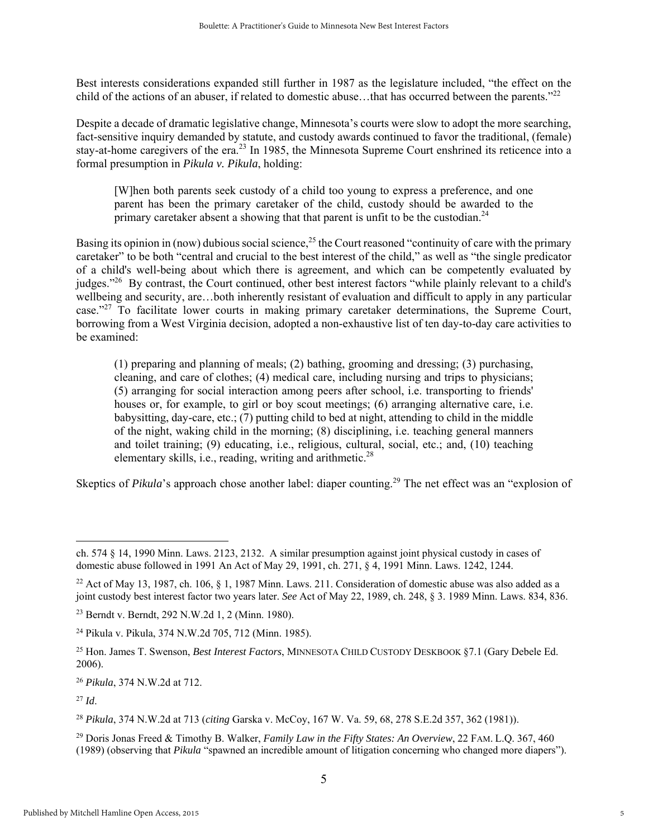Best interests considerations expanded still further in 1987 as the legislature included, "the effect on the child of the actions of an abuser, if related to domestic abuse...that has occurred between the parents." $2^{2}$ 

Despite a decade of dramatic legislative change, Minnesota's courts were slow to adopt the more searching, fact-sensitive inquiry demanded by statute, and custody awards continued to favor the traditional, (female) stay-at-home caregivers of the era.<sup>23</sup> In 1985, the Minnesota Supreme Court enshrined its reticence into a formal presumption in *Pikula v. Pikula*, holding:

[W]hen both parents seek custody of a child too young to express a preference, and one parent has been the primary caretaker of the child, custody should be awarded to the primary caretaker absent a showing that that parent is unfit to be the custodian.<sup>24</sup>

Basing its opinion in (now) dubious social science,<sup>25</sup> the Court reasoned "continuity of care with the primary caretaker" to be both "central and crucial to the best interest of the child," as well as "the single predicator of a child's well-being about which there is agreement, and which can be competently evaluated by judges."26 By contrast, the Court continued, other best interest factors "while plainly relevant to a child's wellbeing and security, are…both inherently resistant of evaluation and difficult to apply in any particular case."27 To facilitate lower courts in making primary caretaker determinations, the Supreme Court, borrowing from a West Virginia decision, adopted a non-exhaustive list of ten day-to-day care activities to be examined:

(1) preparing and planning of meals; (2) bathing, grooming and dressing; (3) purchasing, cleaning, and care of clothes; (4) medical care, including nursing and trips to physicians; (5) arranging for social interaction among peers after school, i.e. transporting to friends' houses or, for example, to girl or boy scout meetings; (6) arranging alternative care, i.e. babysitting, day-care, etc.; (7) putting child to bed at night, attending to child in the middle of the night, waking child in the morning; (8) disciplining, i.e. teaching general manners and toilet training; (9) educating, i.e., religious, cultural, social, etc.; and, (10) teaching elementary skills, i.e., reading, writing and arithmetic.<sup>28</sup>

Skeptics of *Pikula*'s approach chose another label: diaper counting.<sup>29</sup> The net effect was an "explosion of

ch. 574 § 14, 1990 Minn. Laws. 2123, 2132. A similar presumption against joint physical custody in cases of domestic abuse followed in 1991 An Act of May 29, 1991, ch. 271, § 4, 1991 Minn. Laws. 1242, 1244.

<sup>&</sup>lt;sup>22</sup> Act of May 13, 1987, ch. 106,  $\S$  1, 1987 Minn. Laws. 211. Consideration of domestic abuse was also added as a joint custody best interest factor two years later. *See* Act of May 22, 1989, ch. 248, § 3. 1989 Minn. Laws. 834, 836.

<sup>23</sup> Berndt v. Berndt, 292 N.W.2d 1, 2 (Minn. 1980).

<sup>24</sup> Pikula v. Pikula, 374 N.W.2d 705, 712 (Minn. 1985).

<sup>25</sup> Hon. James T. Swenson, *Best Interest Factors*, MINNESOTA CHILD CUSTODY DESKBOOK §7.1 (Gary Debele Ed. 2006).

<sup>26</sup> *Pikula*, 374 N.W.2d at 712.

 $^{27}$  *Id.* 

<sup>28</sup> *Pikula*, 374 N.W.2d at 713 (*citing* Garska v. McCoy, 167 W. Va. 59, 68, 278 S.E.2d 357, 362 (1981)).

<sup>29</sup> Doris Jonas Freed & Timothy B. Walker, *Family Law in the Fifty States: An Overview*, 22 FAM. L.Q. 367, 460 (1989) (observing that *Pikula* "spawned an incredible amount of litigation concerning who changed more diapers").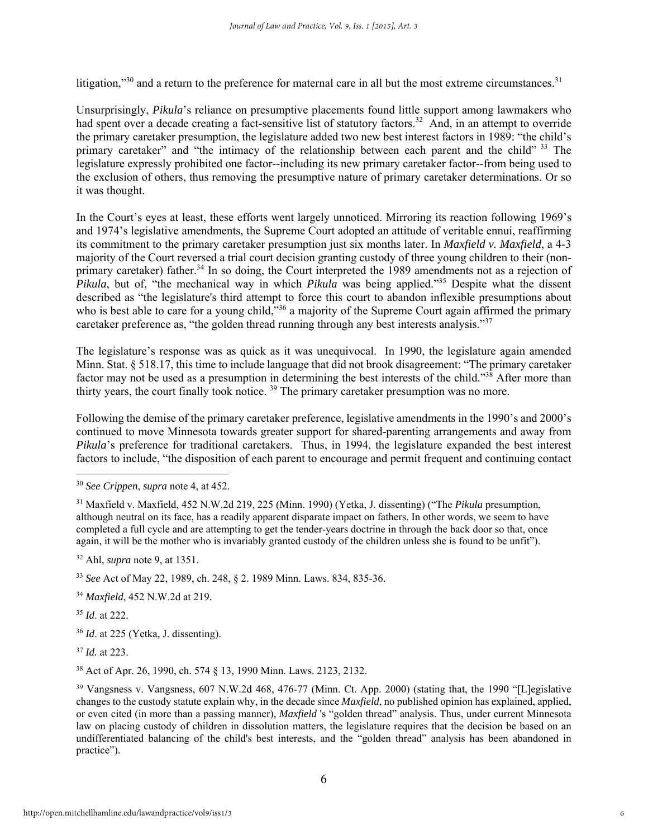litigation," $30$  and a return to the preference for maternal care in all but the most extreme circumstances. $31$ 

Unsurprisingly, *Pikula*'s reliance on presumptive placements found little support among lawmakers who had spent over a decade creating a fact-sensitive list of statutory factors.<sup>32</sup> And, in an attempt to override the primary caretaker presumption, the legislature added two new best interest factors in 1989: "the child's primary caretaker" and "the intimacy of the relationship between each parent and the child" 33 The legislature expressly prohibited one factor--including its new primary caretaker factor--from being used to the exclusion of others, thus removing the presumptive nature of primary caretaker determinations. Or so it was thought.

In the Court's eyes at least, these efforts went largely unnoticed. Mirroring its reaction following 1969's and 1974's legislative amendments, the Supreme Court adopted an attitude of veritable ennui, reaffirming its commitment to the primary caretaker presumption just six months later. In *Maxfield v. Maxfield*, a 4-3 majority of the Court reversed a trial court decision granting custody of three young children to their (nonprimary caretaker) father.<sup>34</sup> In so doing, the Court interpreted the 1989 amendments not as a rejection of *Pikula*, but of, "the mechanical way in which *Pikula* was being applied."<sup>35</sup> Despite what the dissent described as "the legislature's third attempt to force this court to abandon inflexible presumptions about who is best able to care for a young child,<sup>536</sup> a majority of the Supreme Court again affirmed the primary caretaker preference as, "the golden thread running through any best interests analysis."<sup>37</sup>

The legislature's response was as quick as it was unequivocal. In 1990, the legislature again amended Minn. Stat. § 518.17, this time to include language that did not brook disagreement: "The primary caretaker factor may not be used as a presumption in determining the best interests of the child."<sup>38</sup> After more than thirty years, the court finally took notice. 39 The primary caretaker presumption was no more.

Following the demise of the primary caretaker preference, legislative amendments in the 1990's and 2000's continued to move Minnesota towards greater support for shared-parenting arrangements and away from *Pikula*'s preference for traditional caretakers. Thus, in 1994, the legislature expanded the best interest factors to include, "the disposition of each parent to encourage and permit frequent and continuing contact

32 Ahl, *supra* note 9, at 1351.

<sup>33</sup> *See* Act of May 22, 1989, ch. 248, § 2. 1989 Minn. Laws. 834, 835-36.

<sup>34</sup> *Maxfield*, 452 N.W.2d at 219.

<sup>35</sup> *Id*. at 222.

 $\overline{a}$ 

<sup>36</sup> *Id*. at 225 (Yetka, J. dissenting).

<sup>37</sup> *Id.* at 223.

38 Act of Apr. 26, 1990, ch. 574 § 13, 1990 Minn. Laws. 2123, 2132.

<sup>30</sup> *See Crippen*, *supra* note 4, at 452.

<sup>31</sup> Maxfield v. Maxfield, 452 N.W.2d 219, 225 (Minn. 1990) (Yetka, J. dissenting) ("The *Pikula* presumption, although neutral on its face, has a readily apparent disparate impact on fathers. In other words, we seem to have completed a full cycle and are attempting to get the tender-years doctrine in through the back door so that, once again, it will be the mother who is invariably granted custody of the children unless she is found to be unfit").

<sup>39</sup> Vangsness v. Vangsness, 607 N.W.2d 468, 476-77 (Minn. Ct. App. 2000) (stating that, the 1990 "[L]egislative changes to the custody statute explain why, in the decade since *Maxfield*, no published opinion has explained, applied, or even cited (in more than a passing manner), *Maxfield* 's "golden thread" analysis. Thus, under current Minnesota law on placing custody of children in dissolution matters, the legislature requires that the decision be based on an undifferentiated balancing of the child's best interests, and the "golden thread" analysis has been abandoned in practice").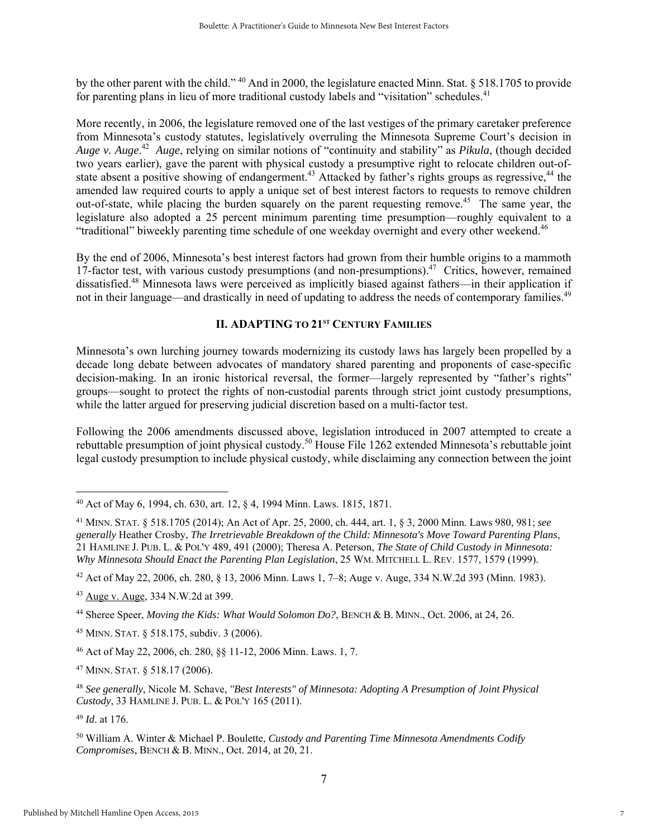by the other parent with the child." 40 And in 2000, the legislature enacted Minn. Stat. § 518.1705 to provide for parenting plans in lieu of more traditional custody labels and "visitation" schedules.<sup>41</sup>

More recently, in 2006, the legislature removed one of the last vestiges of the primary caretaker preference from Minnesota's custody statutes, legislatively overruling the Minnesota Supreme Court's decision in *Auge v. Auge*. 42 *Auge*, relying on similar notions of "continuity and stability" as *Pikula*, (though decided two years earlier), gave the parent with physical custody a presumptive right to relocate children out-ofstate absent a positive showing of endangerment.<sup>43</sup> Attacked by father's rights groups as regressive,<sup>44</sup> the amended law required courts to apply a unique set of best interest factors to requests to remove children out-of-state, while placing the burden squarely on the parent requesting remove.<sup>45</sup> The same year, the legislature also adopted a 25 percent minimum parenting time presumption—roughly equivalent to a "traditional" biweekly parenting time schedule of one weekday overnight and every other weekend.46

By the end of 2006, Minnesota's best interest factors had grown from their humble origins to a mammoth 17-factor test, with various custody presumptions (and non-presumptions).<sup>47</sup> Critics, however, remained dissatisfied.48 Minnesota laws were perceived as implicitly biased against fathers—in their application if not in their language—and drastically in need of updating to address the needs of contemporary families.<sup>49</sup>

#### **II. ADAPTING TO 21ST CENTURY FAMILIES**

Minnesota's own lurching journey towards modernizing its custody laws has largely been propelled by a decade long debate between advocates of mandatory shared parenting and proponents of case-specific decision-making. In an ironic historical reversal, the former—largely represented by "father's rights" groups—sought to protect the rights of non-custodial parents through strict joint custody presumptions, while the latter argued for preserving judicial discretion based on a multi-factor test.

Following the 2006 amendments discussed above, legislation introduced in 2007 attempted to create a rebuttable presumption of joint physical custody.<sup>50</sup> House File 1262 extended Minnesota's rebuttable joint legal custody presumption to include physical custody, while disclaiming any connection between the joint

45 MINN. STAT. § 518.175, subdiv. 3 (2006).

<sup>49</sup> *Id*. at 176.

<sup>40</sup> Act of May 6, 1994, ch. 630, art. 12, § 4, 1994 Minn. Laws. 1815, 1871.

<sup>41</sup> MINN. STAT. § 518.1705 (2014); An Act of Apr. 25, 2000, ch. 444, art. 1, § 3, 2000 Minn. Laws 980, 981; *see generally* Heather Crosby, *The Irretrievable Breakdown of the Child: Minnesota's Move Toward Parenting Plans*, 21 HAMLINE J. PUB. L. & POL'Y 489, 491 (2000); Theresa A. Peterson, *The State of Child Custody in Minnesota: Why Minnesota Should Enact the Parenting Plan Legislation*, 25 WM. MITCHELL L. REV. 1577, 1579 (1999).

<sup>42</sup> Act of May 22, 2006, ch. 280, § 13, 2006 Minn. Laws 1, 7–8; Auge v. Auge, 334 N.W.2d 393 (Minn. 1983).

<sup>43</sup> Auge v. Auge, 334 N.W.2d at 399.

<sup>&</sup>lt;sup>44</sup> Sheree Speer, *Moving the Kids: What Would Solomon Do?*, BENCH & B. MINN., Oct. 2006, at 24, 26.

<sup>46</sup> Act of May 22, 2006, ch. 280, §§ 11-12, 2006 Minn. Laws. 1, 7.

<sup>47</sup> MINN. STAT. § 518.17 (2006).

<sup>48</sup> *See generally*, Nicole M. Schave, *"Best Interests" of Minnesota: Adopting A Presumption of Joint Physical Custody*, 33 HAMLINE J. PUB. L. & POL'Y 165 (2011).

<sup>50</sup> William A. Winter & Michael P. Boulette, *Custody and Parenting Time Minnesota Amendments Codify Compromises*, BENCH & B. MINN., Oct. 2014, at 20, 21.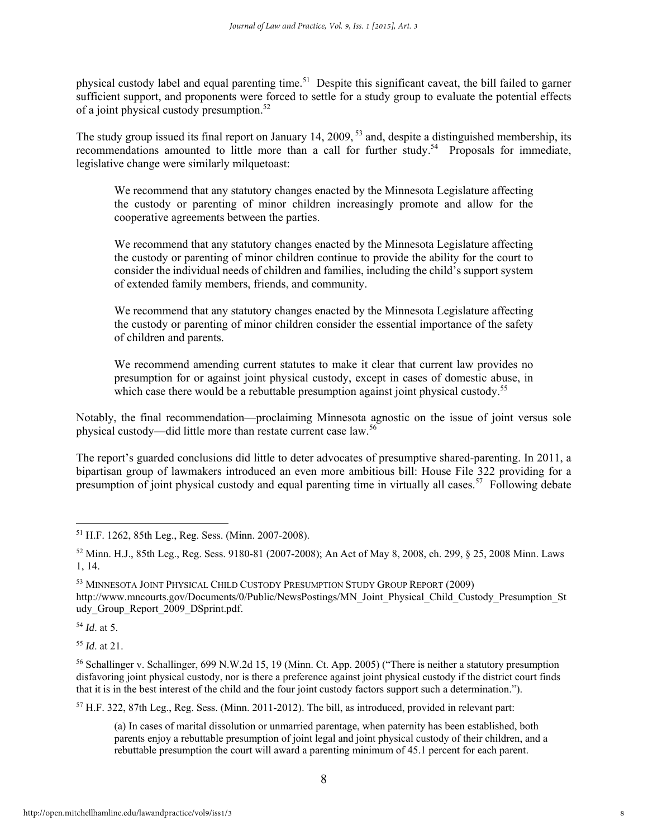physical custody label and equal parenting time.<sup>51</sup> Despite this significant caveat, the bill failed to garner sufficient support, and proponents were forced to settle for a study group to evaluate the potential effects of a joint physical custody presumption.<sup>52</sup>

The study group issued its final report on January 14, 2009, <sup>53</sup> and, despite a distinguished membership, its recommendations amounted to little more than a call for further study.<sup>54</sup> Proposals for immediate, legislative change were similarly milquetoast:

We recommend that any statutory changes enacted by the Minnesota Legislature affecting the custody or parenting of minor children increasingly promote and allow for the cooperative agreements between the parties.

We recommend that any statutory changes enacted by the Minnesota Legislature affecting the custody or parenting of minor children continue to provide the ability for the court to consider the individual needs of children and families, including the child's support system of extended family members, friends, and community.

We recommend that any statutory changes enacted by the Minnesota Legislature affecting the custody or parenting of minor children consider the essential importance of the safety of children and parents.

We recommend amending current statutes to make it clear that current law provides no presumption for or against joint physical custody, except in cases of domestic abuse, in which case there would be a rebuttable presumption against joint physical custody.<sup>55</sup>

Notably, the final recommendation—proclaiming Minnesota agnostic on the issue of joint versus sole physical custody—did little more than restate current case law.56

The report's guarded conclusions did little to deter advocates of presumptive shared-parenting. In 2011, a bipartisan group of lawmakers introduced an even more ambitious bill: House File 322 providing for a presumption of joint physical custody and equal parenting time in virtually all cases.<sup>57</sup> Following debate

<sup>54</sup> *Id*. at 5.

 $\overline{a}$ 

<sup>55</sup> *Id*. at 21.

57 H.F. 322, 87th Leg., Reg. Sess. (Minn. 2011-2012). The bill, as introduced, provided in relevant part:

(a) In cases of marital dissolution or unmarried parentage, when paternity has been established, both parents enjoy a rebuttable presumption of joint legal and joint physical custody of their children, and a rebuttable presumption the court will award a parenting minimum of 45.1 percent for each parent.

<sup>51</sup> H.F. 1262, 85th Leg., Reg. Sess. (Minn. 2007-2008).

<sup>52</sup> Minn. H.J., 85th Leg., Reg. Sess. 9180-81 (2007-2008); An Act of May 8, 2008, ch. 299, § 25, 2008 Minn. Laws 1, 14.

<sup>53</sup> MINNESOTA JOINT PHYSICAL CHILD CUSTODY PRESUMPTION STUDY GROUP REPORT (2009) http://www.mncourts.gov/Documents/0/Public/NewsPostings/MN\_Joint\_Physical\_Child\_Custody\_Presumption\_St udy\_Group\_Report\_2009\_DSprint.pdf.

<sup>56</sup> Schallinger v. Schallinger, 699 N.W.2d 15, 19 (Minn. Ct. App. 2005) ("There is neither a statutory presumption disfavoring joint physical custody, nor is there a preference against joint physical custody if the district court finds that it is in the best interest of the child and the four joint custody factors support such a determination.").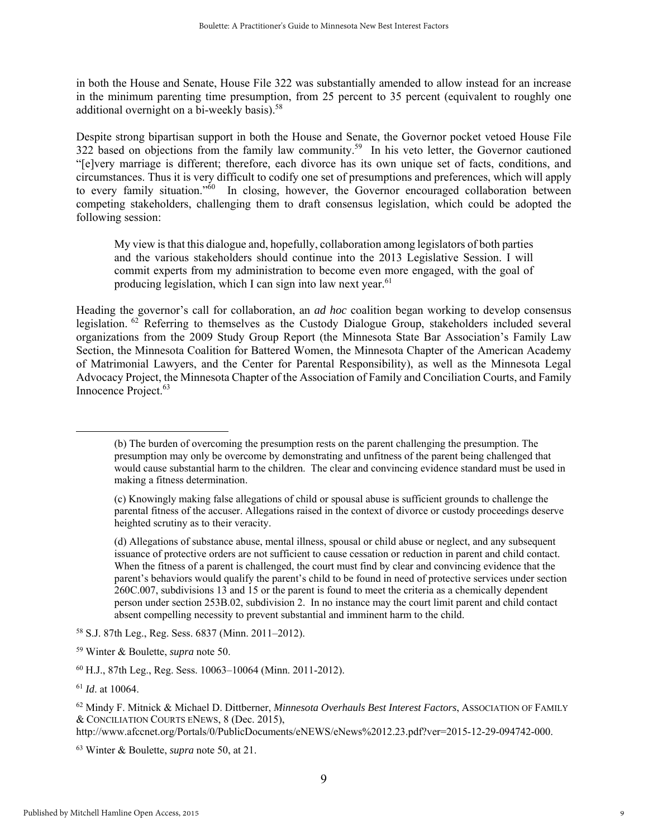in both the House and Senate, House File 322 was substantially amended to allow instead for an increase in the minimum parenting time presumption, from 25 percent to 35 percent (equivalent to roughly one additional overnight on a bi-weekly basis).<sup>58</sup>

Despite strong bipartisan support in both the House and Senate, the Governor pocket vetoed House File 322 based on objections from the family law community.<sup>59</sup> In his veto letter, the Governor cautioned "[e]very marriage is different; therefore, each divorce has its own unique set of facts, conditions, and circumstances. Thus it is very difficult to codify one set of presumptions and preferences, which will apply to every family situation."<sup>60</sup> In closing, however, the Governor encouraged collaboration between competing stakeholders, challenging them to draft consensus legislation, which could be adopted the following session:

My view is that this dialogue and, hopefully, collaboration among legislators of both parties and the various stakeholders should continue into the 2013 Legislative Session. I will commit experts from my administration to become even more engaged, with the goal of producing legislation, which I can sign into law next year.<sup>61</sup>

Heading the governor's call for collaboration, an *ad hoc* coalition began working to develop consensus legislation. 62 Referring to themselves as the Custody Dialogue Group, stakeholders included several organizations from the 2009 Study Group Report (the Minnesota State Bar Association's Family Law Section, the Minnesota Coalition for Battered Women, the Minnesota Chapter of the American Academy of Matrimonial Lawyers, and the Center for Parental Responsibility), as well as the Minnesota Legal Advocacy Project, the Minnesota Chapter of the Association of Family and Conciliation Courts, and Family Innocence Project.<sup>63</sup>

 <sup>(</sup>b) The burden of overcoming the presumption rests on the parent challenging the presumption. The presumption may only be overcome by demonstrating and unfitness of the parent being challenged that would cause substantial harm to the children. The clear and convincing evidence standard must be used in making a fitness determination.

<sup>(</sup>c) Knowingly making false allegations of child or spousal abuse is sufficient grounds to challenge the parental fitness of the accuser. Allegations raised in the context of divorce or custody proceedings deserve heighted scrutiny as to their veracity.

<sup>(</sup>d) Allegations of substance abuse, mental illness, spousal or child abuse or neglect, and any subsequent issuance of protective orders are not sufficient to cause cessation or reduction in parent and child contact. When the fitness of a parent is challenged, the court must find by clear and convincing evidence that the parent's behaviors would qualify the parent's child to be found in need of protective services under section 260C.007, subdivisions 13 and 15 or the parent is found to meet the criteria as a chemically dependent person under section 253B.02, subdivision 2. In no instance may the court limit parent and child contact absent compelling necessity to prevent substantial and imminent harm to the child.

<sup>58</sup> S.J. 87th Leg., Reg. Sess. 6837 (Minn. 2011–2012).

<sup>59</sup> Winter & Boulette, *supra* note 50.

<sup>60</sup> H.J., 87th Leg., Reg. Sess. 10063–10064 (Minn. 2011-2012).

<sup>61</sup> *Id*. at 10064.

<sup>62</sup> Mindy F. Mitnick & Michael D. Dittberner, *Minnesota Overhauls Best Interest Factors*, ASSOCIATION OF FAMILY & CONCILIATION COURTS ENEWS, 8 (Dec. 2015),

http://www.afccnet.org/Portals/0/PublicDocuments/eNEWS/eNews%2012.23.pdf?ver=2015-12-29-094742-000.

<sup>63</sup> Winter & Boulette, *supra* note 50, at 21.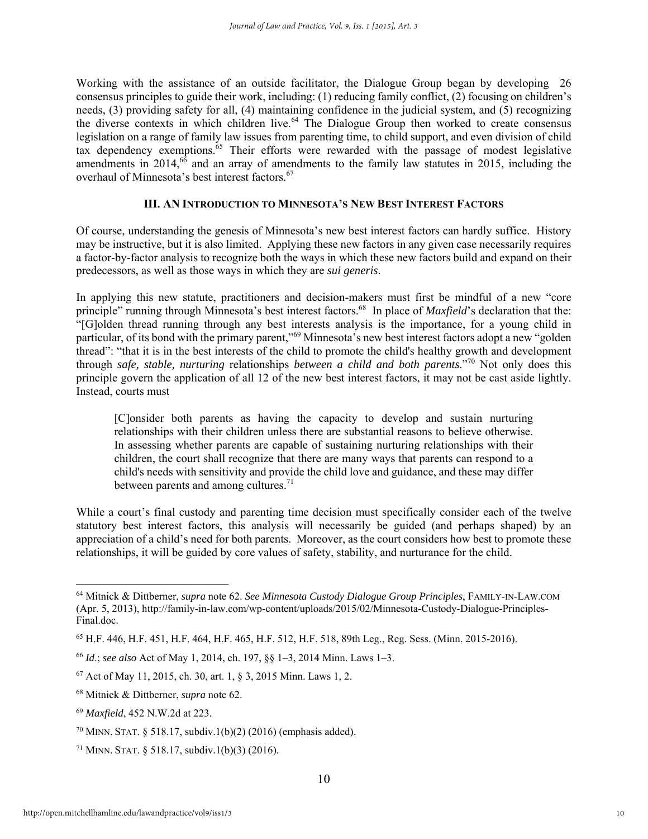Working with the assistance of an outside facilitator, the Dialogue Group began by developing 26 consensus principles to guide their work, including: (1) reducing family conflict, (2) focusing on children's needs, (3) providing safety for all, (4) maintaining confidence in the judicial system, and (5) recognizing the diverse contexts in which children live.<sup>64</sup> The Dialogue Group then worked to create consensus legislation on a range of family law issues from parenting time, to child support, and even division of child tax dependency exemptions.<sup>65</sup> Their efforts were rewarded with the passage of modest legislative amendments in 2014,<sup>66</sup> and an array of amendments to the family law statutes in 2015, including the overhaul of Minnesota's best interest factors.<sup>67</sup>

#### **III. AN INTRODUCTION TO MINNESOTA'S NEW BEST INTEREST FACTORS**

Of course, understanding the genesis of Minnesota's new best interest factors can hardly suffice. History may be instructive, but it is also limited. Applying these new factors in any given case necessarily requires a factor-by-factor analysis to recognize both the ways in which these new factors build and expand on their predecessors, as well as those ways in which they are *sui generis*.

In applying this new statute, practitioners and decision-makers must first be mindful of a new "core principle" running through Minnesota's best interest factors.<sup>68</sup> In place of *Maxfield*'s declaration that the: "[G]olden thread running through any best interests analysis is the importance, for a young child in particular, of its bond with the primary parent,"69 Minnesota's new best interest factors adopt a new "golden thread": "that it is in the best interests of the child to promote the child's healthy growth and development through *safe, stable, nurturing* relationships *between a child and both parents*."70 Not only does this principle govern the application of all 12 of the new best interest factors, it may not be cast aside lightly. Instead, courts must

[C]onsider both parents as having the capacity to develop and sustain nurturing relationships with their children unless there are substantial reasons to believe otherwise. In assessing whether parents are capable of sustaining nurturing relationships with their children, the court shall recognize that there are many ways that parents can respond to a child's needs with sensitivity and provide the child love and guidance, and these may differ between parents and among cultures.<sup>71</sup>

While a court's final custody and parenting time decision must specifically consider each of the twelve statutory best interest factors, this analysis will necessarily be guided (and perhaps shaped) by an appreciation of a child's need for both parents. Moreover, as the court considers how best to promote these relationships, it will be guided by core values of safety, stability, and nurturance for the child.

<sup>64</sup> Mitnick & Dittberner, *supra* note 62. *See Minnesota Custody Dialogue Group Principles*, FAMILY-IN-LAW.COM (Apr. 5, 2013), http://family-in-law.com/wp-content/uploads/2015/02/Minnesota-Custody-Dialogue-Principles-Final.doc.

<sup>65</sup> H.F. 446, H.F. 451, H.F. 464, H.F. 465, H.F. 512, H.F. 518, 89th Leg., Reg. Sess. (Minn. 2015-2016).

<sup>66</sup> *Id*.; *see also* Act of May 1, 2014, ch. 197, §§ 1–3, 2014 Minn. Laws 1–3.

<sup>67</sup> Act of May 11, 2015, ch. 30, art. 1, § 3, 2015 Minn. Laws 1, 2.

<sup>68</sup> Mitnick & Dittberner, *supra* note 62.

<sup>69</sup> *Maxfield*, 452 N.W.2d at 223.

<sup>70</sup> MINN. STAT. § 518.17, subdiv.1(b)(2) (2016) (emphasis added).

<sup>&</sup>lt;sup>71</sup> MINN. STAT. § 518.17, subdiv.1(b)(3) (2016).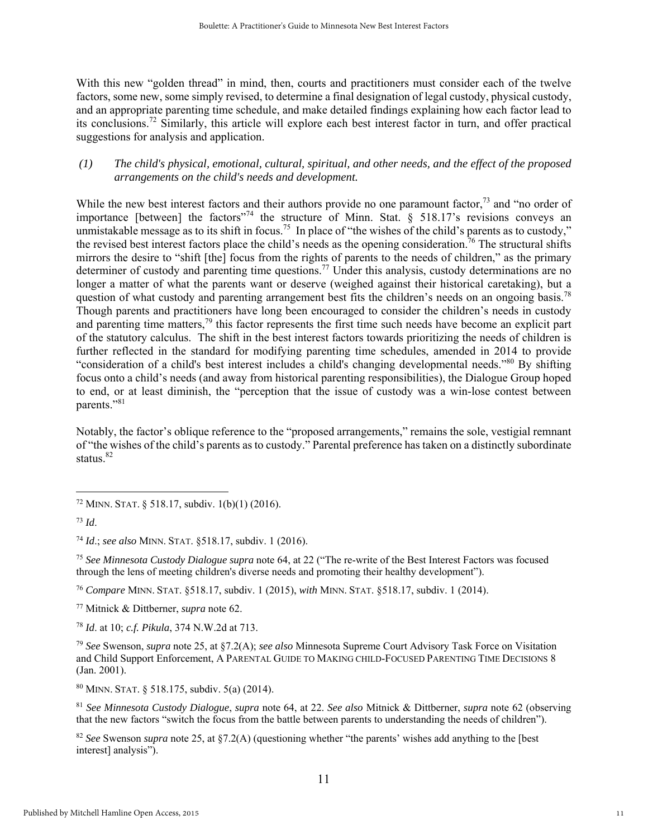With this new "golden thread" in mind, then, courts and practitioners must consider each of the twelve factors, some new, some simply revised, to determine a final designation of legal custody, physical custody, and an appropriate parenting time schedule, and make detailed findings explaining how each factor lead to its conclusions.72 Similarly, this article will explore each best interest factor in turn, and offer practical suggestions for analysis and application.

#### *(1) The child's physical, emotional, cultural, spiritual, and other needs, and the effect of the proposed arrangements on the child's needs and development.*

While the new best interest factors and their authors provide no one paramount factor,<sup>73</sup> and "no order of importance [between] the factors<sup>"74</sup> the structure of Minn. Stat. § 518.17's revisions conveys an unmistakable message as to its shift in focus.<sup>75</sup> In place of "the wishes of the child's parents as to custody," the revised best interest factors place the child's needs as the opening consideration.<sup>76</sup> The structural shifts mirrors the desire to "shift [the] focus from the rights of parents to the needs of children," as the primary determiner of custody and parenting time questions.<sup>77</sup> Under this analysis, custody determinations are no longer a matter of what the parents want or deserve (weighed against their historical caretaking), but a question of what custody and parenting arrangement best fits the children's needs on an ongoing basis.<sup>78</sup> Though parents and practitioners have long been encouraged to consider the children's needs in custody and parenting time matters, $79$  this factor represents the first time such needs have become an explicit part of the statutory calculus. The shift in the best interest factors towards prioritizing the needs of children is further reflected in the standard for modifying parenting time schedules, amended in 2014 to provide "consideration of a child's best interest includes a child's changing developmental needs."80 By shifting focus onto a child's needs (and away from historical parenting responsibilities), the Dialogue Group hoped to end, or at least diminish, the "perception that the issue of custody was a win-lose contest between parents."<sup>81</sup>

Notably, the factor's oblique reference to the "proposed arrangements," remains the sole, vestigial remnant of "the wishes of the child's parents as to custody." Parental preference has taken on a distinctly subordinate status.<sup>82</sup>

 $\overline{a}$ 

<sup>74</sup> *Id*.; *see also* MINN. STAT. §518.17, subdiv. 1 (2016).

<sup>75</sup> *See Minnesota Custody Dialogue supra* note 64, at 22 ("The re-write of the Best Interest Factors was focused through the lens of meeting children's diverse needs and promoting their healthy development").

<sup>76</sup> *Compare* MINN. STAT. §518.17, subdiv. 1 (2015), *with* MINN. STAT. §518.17, subdiv. 1 (2014).

77 Mitnick & Dittberner, *supra* note 62.

<sup>78</sup> *Id*. at 10; *c.f. Pikula*, 374 N.W.2d at 713.

<sup>79</sup> *See* Swenson, *supra* note 25, at §7.2(A); *see also* Minnesota Supreme Court Advisory Task Force on Visitation and Child Support Enforcement, A PARENTAL GUIDE TO MAKING CHILD-FOCUSED PARENTING TIME DECISIONS 8 (Jan. 2001).

80 MINN. STAT. § 518.175, subdiv. 5(a) (2014).

<sup>81</sup> *See Minnesota Custody Dialogue*, *supra* note 64, at 22. *See also* Mitnick & Dittberner, *supra* note 62 (observing that the new factors "switch the focus from the battle between parents to understanding the needs of children").

<sup>82</sup> *See* Swenson *supra* note 25, at §7.2(A) (questioning whether "the parents' wishes add anything to the [best interest] analysis").

 $72$  MINN. STAT. § 518.17, subdiv. 1(b)(1) (2016).

<sup>73</sup> *Id*.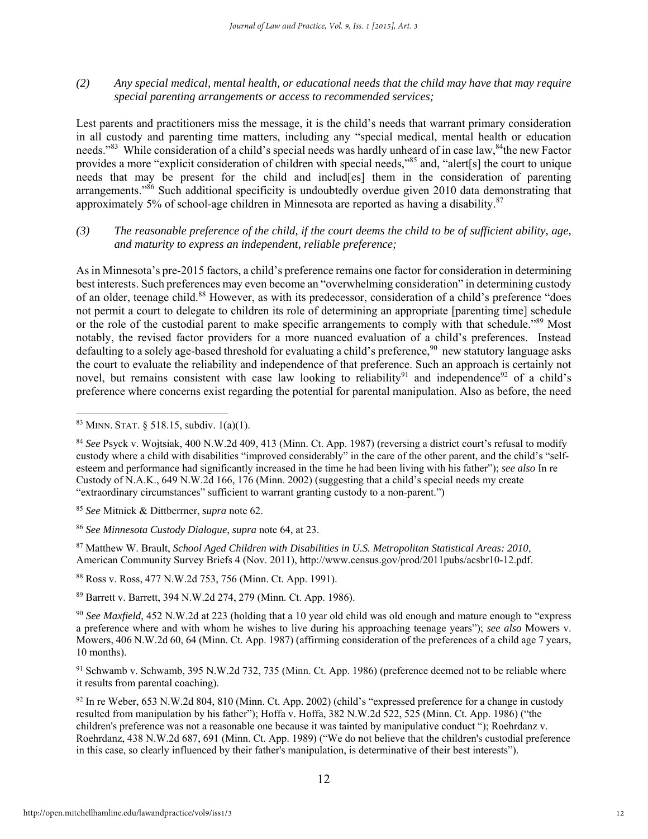*(2) Any special medical, mental health, or educational needs that the child may have that may require special parenting arrangements or access to recommended services;* 

Lest parents and practitioners miss the message, it is the child's needs that warrant primary consideration in all custody and parenting time matters, including any "special medical, mental health or education needs."<sup>83</sup> While consideration of a child's special needs was hardly unheard of in case law, <sup>84</sup>the new Factor provides a more "explicit consideration of children with special needs,"85 and, "alert[s] the court to unique needs that may be present for the child and includ[es] them in the consideration of parenting arrangements."<sup>86</sup> Such additional specificity is undoubtedly overdue given 2010 data demonstrating that approximately 5% of school-age children in Minnesota are reported as having a disability. $87$ 

*(3) The reasonable preference of the child, if the court deems the child to be of sufficient ability, age, and maturity to express an independent, reliable preference;* 

As in Minnesota's pre-2015 factors, a child's preference remains one factor for consideration in determining best interests. Such preferences may even become an "overwhelming consideration" in determining custody of an older, teenage child.<sup>88</sup> However, as with its predecessor, consideration of a child's preference "does" not permit a court to delegate to children its role of determining an appropriate [parenting time] schedule or the role of the custodial parent to make specific arrangements to comply with that schedule."89 Most notably, the revised factor providers for a more nuanced evaluation of a child's preferences. Instead defaulting to a solely age-based threshold for evaluating a child's preference,  $90$  new statutory language asks the court to evaluate the reliability and independence of that preference. Such an approach is certainly not novel, but remains consistent with case law looking to reliability<sup>91</sup> and independence<sup>92</sup> of a child's preference where concerns exist regarding the potential for parental manipulation. Also as before, the need

 $\overline{a}$ 

88 Ross v. Ross, 477 N.W.2d 753, 756 (Minn. Ct. App. 1991).

89 Barrett v. Barrett, 394 N.W.2d 274, 279 (Minn. Ct. App. 1986).

91 Schwamb v. Schwamb, 395 N.W.2d 732, 735 (Minn. Ct. App. 1986) (preference deemed not to be reliable where it results from parental coaching).

92 In re Weber, 653 N.W.2d 804, 810 (Minn. Ct. App. 2002) (child's "expressed preference for a change in custody resulted from manipulation by his father"); Hoffa v. Hoffa, 382 N.W.2d 522, 525 (Minn. Ct. App. 1986) ("the children's preference was not a reasonable one because it was tainted by manipulative conduct "); Roehrdanz v. Roehrdanz, 438 N.W.2d 687, 691 (Minn. Ct. App. 1989) ("We do not believe that the children's custodial preference in this case, so clearly influenced by their father's manipulation, is determinative of their best interests").

<sup>83</sup> MINN. STAT. § 518.15, subdiv. 1(a)(1).

<sup>84</sup> *See* Psyck v. Wojtsiak, 400 N.W.2d 409, 413 (Minn. Ct. App. 1987) (reversing a district court's refusal to modify custody where a child with disabilities "improved considerably" in the care of the other parent, and the child's "selfesteem and performance had significantly increased in the time he had been living with his father"); *see also* In re Custody of N.A.K., 649 N.W.2d 166, 176 (Minn. 2002) (suggesting that a child's special needs my create "extraordinary circumstances" sufficient to warrant granting custody to a non-parent.")

<sup>85</sup> *See* Mitnick & Dittberrner, *supra* note 62.

<sup>86</sup> *See Minnesota Custody Dialogue*, *supra* note 64, at 23.

<sup>87</sup> Matthew W. Brault, *School Aged Children with Disabilities in U.S. Metropolitan Statistical Areas: 2010*, American Community Survey Briefs 4 (Nov. 2011), http://www.census.gov/prod/2011pubs/acsbr10-12.pdf.

<sup>90</sup> *See Maxfield*, 452 N.W.2d at 223 (holding that a 10 year old child was old enough and mature enough to "express a preference where and with whom he wishes to live during his approaching teenage years"); *see also* Mowers v. Mowers, 406 N.W.2d 60, 64 (Minn. Ct. App. 1987) (affirming consideration of the preferences of a child age 7 years, 10 months).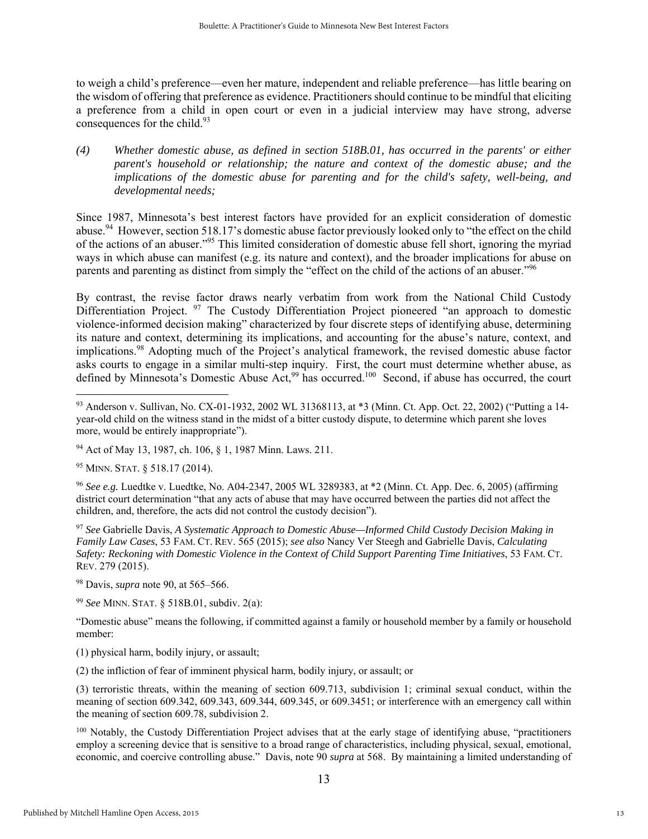to weigh a child's preference—even her mature, independent and reliable preference—has little bearing on the wisdom of offering that preference as evidence. Practitioners should continue to be mindful that eliciting a preference from a child in open court or even in a judicial interview may have strong, adverse consequences for the child.<sup>93</sup>

*(4) Whether domestic abuse, as defined in section 518B.01, has occurred in the parents' or either parent's household or relationship; the nature and context of the domestic abuse; and the implications of the domestic abuse for parenting and for the child's safety, well-being, and developmental needs;* 

Since 1987, Minnesota's best interest factors have provided for an explicit consideration of domestic abuse.<sup>94</sup> However, section 518.17's domestic abuse factor previously looked only to "the effect on the child of the actions of an abuser."95 This limited consideration of domestic abuse fell short, ignoring the myriad ways in which abuse can manifest (e.g. its nature and context), and the broader implications for abuse on parents and parenting as distinct from simply the "effect on the child of the actions of an abuser."<sup>96</sup>

By contrast, the revise factor draws nearly verbatim from work from the National Child Custody Differentiation Project. <sup>97</sup> The Custody Differentiation Project pioneered "an approach to domestic violence-informed decision making" characterized by four discrete steps of identifying abuse, determining its nature and context, determining its implications, and accounting for the abuse's nature, context, and implications.98 Adopting much of the Project's analytical framework, the revised domestic abuse factor asks courts to engage in a similar multi-step inquiry. First, the court must determine whether abuse, as defined by Minnesota's Domestic Abuse Act,<sup>99</sup> has occurred.<sup>100</sup> Second, if abuse has occurred, the court

 $\overline{a}$ 

<sup>96</sup> *See e.g.* Luedtke v. Luedtke, No. A04-2347, 2005 WL 3289383, at \*2 (Minn. Ct. App. Dec. 6, 2005) (affirming district court determination "that any acts of abuse that may have occurred between the parties did not affect the children, and, therefore, the acts did not control the custody decision").

<sup>97</sup> *See* Gabrielle Davis, *A Systematic Approach to Domestic Abuse—Informed Child Custody Decision Making in Family Law Cases*, 53 FAM. CT. REV. 565 (2015); *see also* Nancy Ver Steegh and Gabrielle Davis, *Calculating Safety: Reckoning with Domestic Violence in the Context of Child Support Parenting Time Initiatives*, 53 FAM. CT. REV. 279 (2015).

98 Davis, *supra* note 90, at 565–566.

<sup>99</sup> *See* MINN. STAT. § 518B.01, subdiv. 2(a):

"Domestic abuse" means the following, if committed against a family or household member by a family or household member:

(1) physical harm, bodily injury, or assault;

(2) the infliction of fear of imminent physical harm, bodily injury, or assault; or

(3) terroristic threats, within the meaning of section 609.713, subdivision 1; criminal sexual conduct, within the meaning of section 609.342, 609.343, 609.344, 609.345, or 609.3451; or interference with an emergency call within the meaning of section 609.78, subdivision 2.

100 Notably, the Custody Differentiation Project advises that at the early stage of identifying abuse, "practitioners employ a screening device that is sensitive to a broad range of characteristics, including physical, sexual, emotional, economic, and coercive controlling abuse." Davis, note 90 *supra* at 568. By maintaining a limited understanding of

<sup>93</sup> Anderson v. Sullivan, No. CX-01-1932, 2002 WL 31368113, at \*3 (Minn. Ct. App. Oct. 22, 2002) ("Putting a 14 year-old child on the witness stand in the midst of a bitter custody dispute, to determine which parent she loves more, would be entirely inappropriate").

<sup>94</sup> Act of May 13, 1987, ch. 106, § 1, 1987 Minn. Laws. 211.

<sup>95</sup> MINN. STAT. § 518.17 (2014).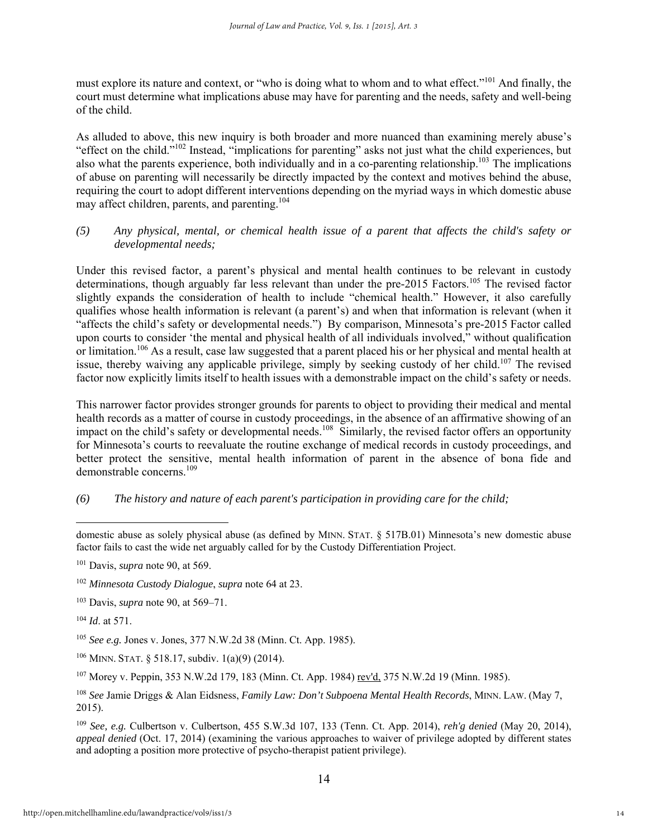must explore its nature and context, or "who is doing what to whom and to what effect."101 And finally, the court must determine what implications abuse may have for parenting and the needs, safety and well-being of the child.

As alluded to above, this new inquiry is both broader and more nuanced than examining merely abuse's "effect on the child."102 Instead, "implications for parenting" asks not just what the child experiences, but also what the parents experience, both individually and in a co-parenting relationship.103 The implications of abuse on parenting will necessarily be directly impacted by the context and motives behind the abuse, requiring the court to adopt different interventions depending on the myriad ways in which domestic abuse may affect children, parents, and parenting.<sup>104</sup>

*(5) Any physical, mental, or chemical health issue of a parent that affects the child's safety or developmental needs;* 

Under this revised factor, a parent's physical and mental health continues to be relevant in custody determinations, though arguably far less relevant than under the pre-2015 Factors.<sup>105</sup> The revised factor slightly expands the consideration of health to include "chemical health." However, it also carefully qualifies whose health information is relevant (a parent's) and when that information is relevant (when it "affects the child's safety or developmental needs.") By comparison, Minnesota's pre-2015 Factor called upon courts to consider 'the mental and physical health of all individuals involved," without qualification or limitation.106 As a result, case law suggested that a parent placed his or her physical and mental health at issue, thereby waiving any applicable privilege, simply by seeking custody of her child.<sup>107</sup> The revised factor now explicitly limits itself to health issues with a demonstrable impact on the child's safety or needs.

This narrower factor provides stronger grounds for parents to object to providing their medical and mental health records as a matter of course in custody proceedings, in the absence of an affirmative showing of an impact on the child's safety or developmental needs.<sup>108</sup> Similarly, the revised factor offers an opportunity for Minnesota's courts to reevaluate the routine exchange of medical records in custody proceedings, and better protect the sensitive, mental health information of parent in the absence of bona fide and demonstrable concerns.<sup>109</sup>

#### *(6) The history and nature of each parent's participation in providing care for the child;*

domestic abuse as solely physical abuse (as defined by MINN. STAT. § 517B.01) Minnesota's new domestic abuse factor fails to cast the wide net arguably called for by the Custody Differentiation Project.

<sup>101</sup> Davis, *supra* note 90, at 569.

<sup>102</sup> *Minnesota Custody Dialogue*, *supra* note 64 at 23.

<sup>103</sup> Davis, *supra* note 90, at 569–71.

<sup>104</sup> *Id*. at 571.

<sup>105</sup> *See e.g.* Jones v. Jones, 377 N.W.2d 38 (Minn. Ct. App. 1985).

 $106$  MINN. STAT. § 518.17, subdiv.  $1(a)(9)$  (2014).

<sup>107</sup> Morey v. Peppin, 353 N.W.2d 179, 183 (Minn. Ct. App. 1984) rev'd, 375 N.W.2d 19 (Minn. 1985).

<sup>108</sup> *See* Jamie Driggs & Alan Eidsness, *Family Law: Don't Subpoena Mental Health Records*, MINN. LAW. (May 7, 2015).

<sup>109</sup> *See, e.g.* Culbertson v. Culbertson, 455 S.W.3d 107, 133 (Tenn. Ct. App. 2014), *reh'g denied* (May 20, 2014), *appeal denied* (Oct. 17, 2014) (examining the various approaches to waiver of privilege adopted by different states and adopting a position more protective of psycho-therapist patient privilege).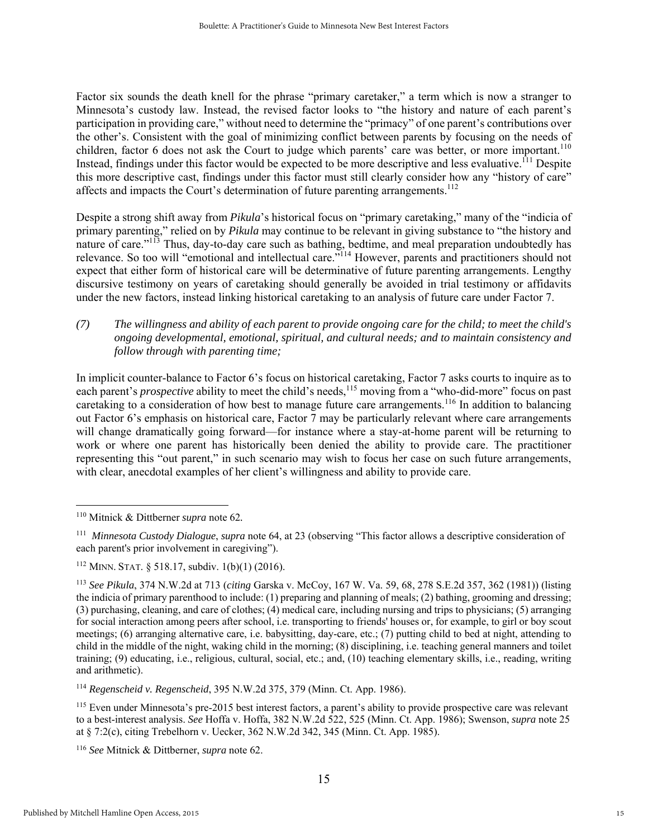Factor six sounds the death knell for the phrase "primary caretaker," a term which is now a stranger to Minnesota's custody law. Instead, the revised factor looks to "the history and nature of each parent's participation in providing care," without need to determine the "primacy" of one parent's contributions over the other's. Consistent with the goal of minimizing conflict between parents by focusing on the needs of children, factor 6 does not ask the Court to judge which parents' care was better, or more important.<sup>110</sup> Instead, findings under this factor would be expected to be more descriptive and less evaluative.<sup>111</sup> Despite this more descriptive cast, findings under this factor must still clearly consider how any "history of care" affects and impacts the Court's determination of future parenting arrangements.<sup>112</sup>

Despite a strong shift away from *Pikula*'s historical focus on "primary caretaking," many of the "indicia of primary parenting," relied on by *Pikula* may continue to be relevant in giving substance to "the history and nature of care."<sup>113</sup> Thus, day-to-day care such as bathing, bedtime, and meal preparation undoubtedly has relevance. So too will "emotional and intellectual care."114 However, parents and practitioners should not expect that either form of historical care will be determinative of future parenting arrangements. Lengthy discursive testimony on years of caretaking should generally be avoided in trial testimony or affidavits under the new factors, instead linking historical caretaking to an analysis of future care under Factor 7.

*(7) The willingness and ability of each parent to provide ongoing care for the child; to meet the child's ongoing developmental, emotional, spiritual, and cultural needs; and to maintain consistency and follow through with parenting time;* 

In implicit counter-balance to Factor 6's focus on historical caretaking, Factor 7 asks courts to inquire as to each parent's *prospective* ability to meet the child's needs,<sup>115</sup> moving from a "who-did-more" focus on past caretaking to a consideration of how best to manage future care arrangements.<sup>116</sup> In addition to balancing out Factor 6's emphasis on historical care, Factor 7 may be particularly relevant where care arrangements will change dramatically going forward—for instance where a stay-at-home parent will be returning to work or where one parent has historically been denied the ability to provide care. The practitioner representing this "out parent," in such scenario may wish to focus her case on such future arrangements, with clear, anecdotal examples of her client's willingness and ability to provide care.

 $\overline{a}$ 

<sup>114</sup> *Regenscheid v. Regenscheid*, 395 N.W.2d 375, 379 (Minn. Ct. App. 1986).

<sup>110</sup> Mitnick & Dittberner *supra* note 62*.* 

<sup>111</sup> *Minnesota Custody Dialogue*, *supra* note 64, at 23 (observing "This factor allows a descriptive consideration of each parent's prior involvement in caregiving").

<sup>112</sup> MINN. STAT. § 518.17, subdiv. 1(b)(1) (2016).

<sup>113</sup> *See Pikula*, 374 N.W.2d at 713 (*citing* Garska v. McCoy, 167 W. Va. 59, 68, 278 S.E.2d 357, 362 (1981)) (listing the indicia of primary parenthood to include: (1) preparing and planning of meals; (2) bathing, grooming and dressing; (3) purchasing, cleaning, and care of clothes; (4) medical care, including nursing and trips to physicians; (5) arranging for social interaction among peers after school, i.e. transporting to friends' houses or, for example, to girl or boy scout meetings; (6) arranging alternative care, i.e. babysitting, day-care, etc.; (7) putting child to bed at night, attending to child in the middle of the night, waking child in the morning; (8) disciplining, i.e. teaching general manners and toilet training; (9) educating, i.e., religious, cultural, social, etc.; and, (10) teaching elementary skills, i.e., reading, writing and arithmetic).

<sup>115</sup> Even under Minnesota's pre-2015 best interest factors, a parent's ability to provide prospective care was relevant to a best-interest analysis. *See* Hoffa v. Hoffa, 382 N.W.2d 522, 525 (Minn. Ct. App. 1986); Swenson, *supra* note 25 at § 7:2(c), citing Trebelhorn v. Uecker, 362 N.W.2d 342, 345 (Minn. Ct. App. 1985).

<sup>116</sup> *See* Mitnick & Dittberner, *supra* note 62.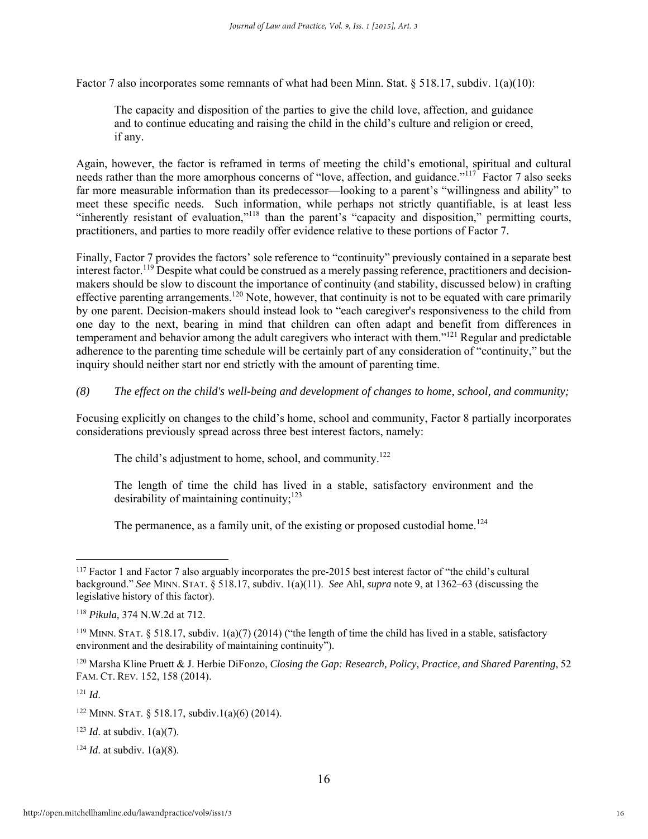Factor 7 also incorporates some remnants of what had been Minn. Stat. § 518.17, subdiv. 1(a)(10):

The capacity and disposition of the parties to give the child love, affection, and guidance and to continue educating and raising the child in the child's culture and religion or creed, if any.

Again, however, the factor is reframed in terms of meeting the child's emotional, spiritual and cultural needs rather than the more amorphous concerns of "love, affection, and guidance."<sup>117</sup> Factor 7 also seeks far more measurable information than its predecessor—looking to a parent's "willingness and ability" to meet these specific needs. Such information, while perhaps not strictly quantifiable, is at least less "inherently resistant of evaluation,"118 than the parent's "capacity and disposition," permitting courts, practitioners, and parties to more readily offer evidence relative to these portions of Factor 7.

Finally, Factor 7 provides the factors' sole reference to "continuity" previously contained in a separate best interest factor.<sup>119</sup> Despite what could be construed as a merely passing reference, practitioners and decisionmakers should be slow to discount the importance of continuity (and stability, discussed below) in crafting effective parenting arrangements.120 Note, however, that continuity is not to be equated with care primarily by one parent. Decision-makers should instead look to "each caregiver's responsiveness to the child from one day to the next, bearing in mind that children can often adapt and benefit from differences in temperament and behavior among the adult caregivers who interact with them."121 Regular and predictable adherence to the parenting time schedule will be certainly part of any consideration of "continuity," but the inquiry should neither start nor end strictly with the amount of parenting time.

*(8) The effect on the child's well-being and development of changes to home, school, and community;* 

Focusing explicitly on changes to the child's home, school and community, Factor 8 partially incorporates considerations previously spread across three best interest factors, namely:

The child's adjustment to home, school, and community.<sup>122</sup>

The length of time the child has lived in a stable, satisfactory environment and the desirability of maintaining continuity: $123$ 

The permanence, as a family unit, of the existing or proposed custodial home.<sup>124</sup>

120 Marsha Kline Pruett & J. Herbie DiFonzo, *Closing the Gap: Research, Policy, Practice, and Shared Parenting*, 52 FAM. CT. REV. 152, 158 (2014).

<sup>121</sup> *Id*.

 $\overline{a}$ 

<sup>123</sup> *Id*. at subdiv. 1(a)(7).

 $124$  *Id.* at subdiv. 1(a)(8).

<sup>&</sup>lt;sup>117</sup> Factor 1 and Factor 7 also arguably incorporates the pre-2015 best interest factor of "the child's cultural background." *See* MINN. STAT. § 518.17, subdiv. 1(a)(11). *See* Ahl, *supra* note 9, at 1362–63 (discussing the legislative history of this factor).

<sup>118</sup> *Pikula*, 374 N.W.2d at 712.

<sup>&</sup>lt;sup>119</sup> MINN. STAT. § 518.17, subdiv. 1(a)(7) (2014) ("the length of time the child has lived in a stable, satisfactory environment and the desirability of maintaining continuity").

<sup>122</sup> MINN. STAT. § 518.17, subdiv.1(a)(6) (2014).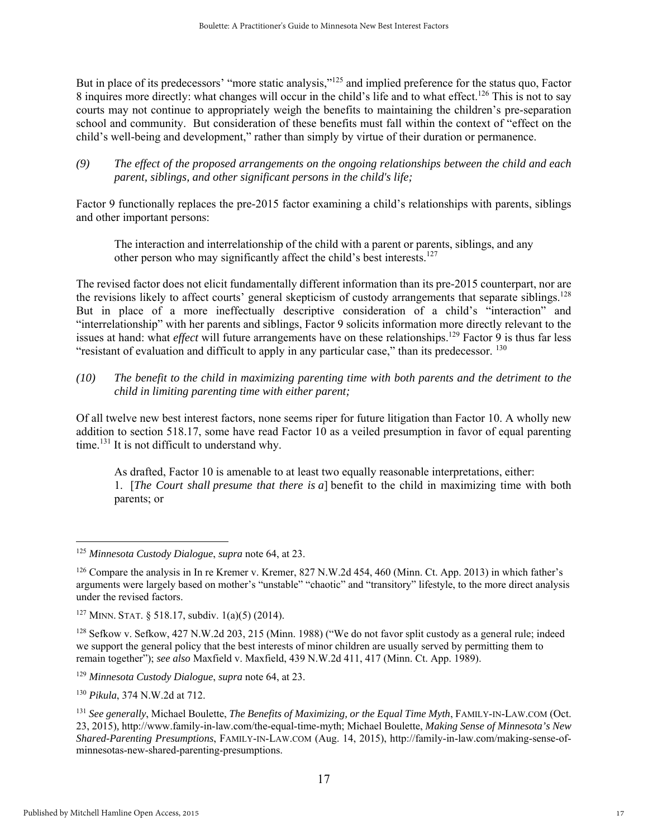But in place of its predecessors' "more static analysis,"<sup>125</sup> and implied preference for the status quo, Factor 8 inquires more directly: what changes will occur in the child's life and to what effect.<sup>126</sup> This is not to say courts may not continue to appropriately weigh the benefits to maintaining the children's pre-separation school and community. But consideration of these benefits must fall within the context of "effect on the child's well-being and development," rather than simply by virtue of their duration or permanence.

*(9) The effect of the proposed arrangements on the ongoing relationships between the child and each parent, siblings, and other significant persons in the child's life;* 

Factor 9 functionally replaces the pre-2015 factor examining a child's relationships with parents, siblings and other important persons:

The interaction and interrelationship of the child with a parent or parents, siblings, and any other person who may significantly affect the child's best interests.<sup>127</sup>

The revised factor does not elicit fundamentally different information than its pre-2015 counterpart, nor are the revisions likely to affect courts' general skepticism of custody arrangements that separate siblings.<sup>128</sup> But in place of a more ineffectually descriptive consideration of a child's "interaction" and "interrelationship" with her parents and siblings, Factor 9 solicits information more directly relevant to the issues at hand: what *effect* will future arrangements have on these relationships.<sup>129</sup> Factor 9 is thus far less "resistant of evaluation and difficult to apply in any particular case." than its predecessor.  $130$ 

*(10) The benefit to the child in maximizing parenting time with both parents and the detriment to the child in limiting parenting time with either parent;* 

Of all twelve new best interest factors, none seems riper for future litigation than Factor 10. A wholly new addition to section 518.17, some have read Factor 10 as a veiled presumption in favor of equal parenting time.<sup>131</sup> It is not difficult to understand why.

As drafted, Factor 10 is amenable to at least two equally reasonable interpretations, either: 1. [*The Court shall presume that there is a*] benefit to the child in maximizing time with both parents; or

<sup>130</sup> *Pikula*, 374 N.W.2d at 712.

<sup>125</sup> *Minnesota Custody Dialogue*, *supra* note 64, at 23.

<sup>126</sup> Compare the analysis in In re Kremer v. Kremer, 827 N.W.2d 454, 460 (Minn. Ct. App. 2013) in which father's arguments were largely based on mother's "unstable" "chaotic" and "transitory" lifestyle, to the more direct analysis under the revised factors.

<sup>&</sup>lt;sup>127</sup> MINN. STAT. § 518.17, subdiv.  $1(a)(5)$  (2014).

<sup>128</sup> Sefkow v. Sefkow, 427 N.W.2d 203, 215 (Minn. 1988) ("We do not favor split custody as a general rule; indeed we support the general policy that the best interests of minor children are usually served by permitting them to remain together"); *see also* Maxfield v. Maxfield, 439 N.W.2d 411, 417 (Minn. Ct. App. 1989).

<sup>129</sup> *Minnesota Custody Dialogue*, *supra* note 64, at 23.

<sup>131</sup> *See generally*, Michael Boulette, *The Benefits of Maximizing, or the Equal Time Myth*, FAMILY-IN-LAW.COM (Oct. 23, 2015)*,* http://www.family-in-law.com/the-equal-time-myth; Michael Boulette, *Making Sense of Minnesota's New Shared-Parenting Presumptions*, FAMILY-IN-LAW.COM (Aug. 14, 2015), http://family-in-law.com/making-sense-ofminnesotas-new-shared-parenting-presumptions.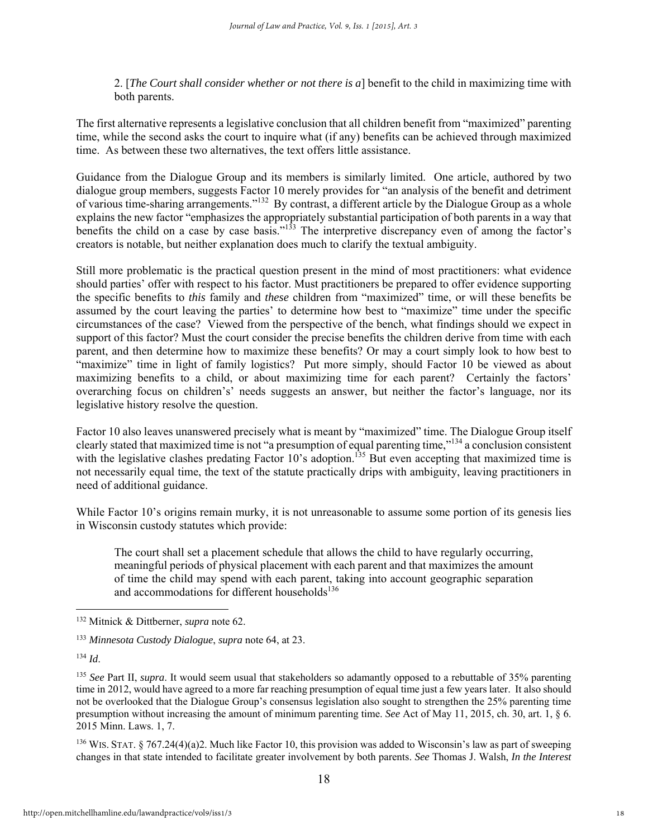2. [*The Court shall consider whether or not there is a*] benefit to the child in maximizing time with both parents.

The first alternative represents a legislative conclusion that all children benefit from "maximized" parenting time, while the second asks the court to inquire what (if any) benefits can be achieved through maximized time. As between these two alternatives, the text offers little assistance.

Guidance from the Dialogue Group and its members is similarly limited. One article, authored by two dialogue group members, suggests Factor 10 merely provides for "an analysis of the benefit and detriment of various time-sharing arrangements."132 By contrast, a different article by the Dialogue Group as a whole explains the new factor "emphasizes the appropriately substantial participation of both parents in a way that benefits the child on a case by case basis."133 The interpretive discrepancy even of among the factor's creators is notable, but neither explanation does much to clarify the textual ambiguity.

Still more problematic is the practical question present in the mind of most practitioners: what evidence should parties' offer with respect to his factor. Must practitioners be prepared to offer evidence supporting the specific benefits to *this* family and *these* children from "maximized" time, or will these benefits be assumed by the court leaving the parties' to determine how best to "maximize" time under the specific circumstances of the case? Viewed from the perspective of the bench, what findings should we expect in support of this factor? Must the court consider the precise benefits the children derive from time with each parent, and then determine how to maximize these benefits? Or may a court simply look to how best to "maximize" time in light of family logistics? Put more simply, should Factor 10 be viewed as about maximizing benefits to a child, or about maximizing time for each parent? Certainly the factors' overarching focus on children's' needs suggests an answer, but neither the factor's language, nor its legislative history resolve the question.

Factor 10 also leaves unanswered precisely what is meant by "maximized" time. The Dialogue Group itself clearly stated that maximized time is not "a presumption of equal parenting time,"134 a conclusion consistent with the legislative clashes predating Factor 10's adoption.<sup>135</sup> But even accepting that maximized time is not necessarily equal time, the text of the statute practically drips with ambiguity, leaving practitioners in need of additional guidance.

While Factor 10's origins remain murky, it is not unreasonable to assume some portion of its genesis lies in Wisconsin custody statutes which provide:

The court shall set a placement schedule that allows the child to have regularly occurring, meaningful periods of physical placement with each parent and that maximizes the amount of time the child may spend with each parent, taking into account geographic separation and accommodations for different households $136$ 

<sup>134</sup> *Id*.

 $\overline{a}$ 

136 WIS. STAT. § 767.24(4)(a)2. Much like Factor 10, this provision was added to Wisconsin's law as part of sweeping changes in that state intended to facilitate greater involvement by both parents. *See* Thomas J. Walsh, *In the Interest* 

<sup>132</sup> Mitnick & Dittberner, *supra* note 62.

<sup>133</sup> *Minnesota Custody Dialogue*, *supra* note 64, at 23.

<sup>135</sup> *See* Part II, *supra*. It would seem usual that stakeholders so adamantly opposed to a rebuttable of 35% parenting time in 2012, would have agreed to a more far reaching presumption of equal time just a few years later. It also should not be overlooked that the Dialogue Group's consensus legislation also sought to strengthen the 25% parenting time presumption without increasing the amount of minimum parenting time. *See* Act of May 11, 2015, ch. 30, art. 1, § 6. 2015 Minn. Laws. 1, 7.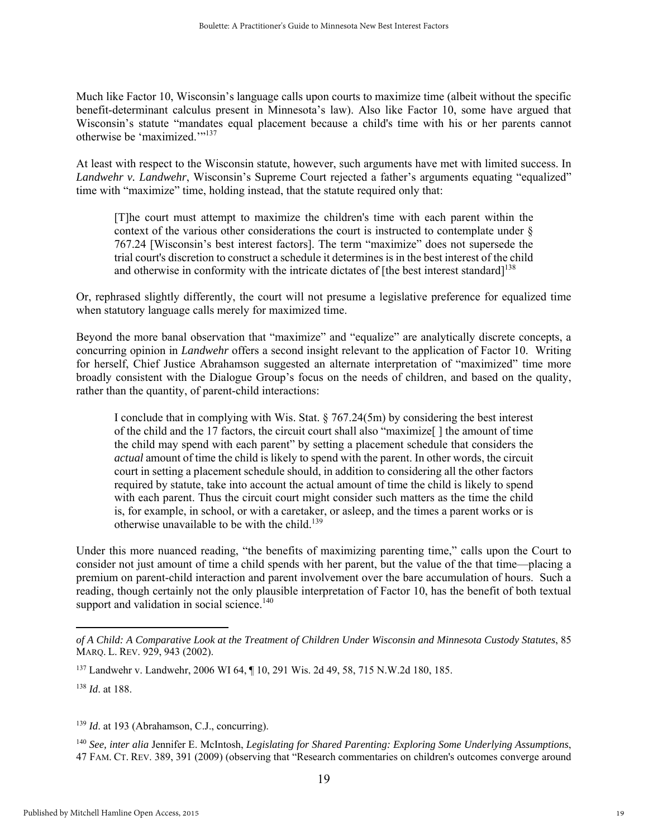Much like Factor 10, Wisconsin's language calls upon courts to maximize time (albeit without the specific benefit-determinant calculus present in Minnesota's law). Also like Factor 10, some have argued that Wisconsin's statute "mandates equal placement because a child's time with his or her parents cannot otherwise be 'maximized.'"137

At least with respect to the Wisconsin statute, however, such arguments have met with limited success. In *Landwehr v. Landwehr*, Wisconsin's Supreme Court rejected a father's arguments equating "equalized" time with "maximize" time, holding instead, that the statute required only that:

[T]he court must attempt to maximize the children's time with each parent within the context of the various other considerations the court is instructed to contemplate under § 767.24 [Wisconsin's best interest factors]. The term "maximize" does not supersede the trial court's discretion to construct a schedule it determines is in the best interest of the child and otherwise in conformity with the intricate dictates of [the best interest standard]<sup>138</sup>

Or, rephrased slightly differently, the court will not presume a legislative preference for equalized time when statutory language calls merely for maximized time.

Beyond the more banal observation that "maximize" and "equalize" are analytically discrete concepts, a concurring opinion in *Landwehr* offers a second insight relevant to the application of Factor 10. Writing for herself, Chief Justice Abrahamson suggested an alternate interpretation of "maximized" time more broadly consistent with the Dialogue Group's focus on the needs of children, and based on the quality, rather than the quantity, of parent-child interactions:

I conclude that in complying with Wis. Stat. § 767.24(5m) by considering the best interest of the child and the 17 factors, the circuit court shall also "maximize[ ] the amount of time the child may spend with each parent" by setting a placement schedule that considers the *actual* amount of time the child is likely to spend with the parent. In other words, the circuit court in setting a placement schedule should, in addition to considering all the other factors required by statute, take into account the actual amount of time the child is likely to spend with each parent. Thus the circuit court might consider such matters as the time the child is, for example, in school, or with a caretaker, or asleep, and the times a parent works or is otherwise unavailable to be with the child.<sup>139</sup>

Under this more nuanced reading, "the benefits of maximizing parenting time," calls upon the Court to consider not just amount of time a child spends with her parent, but the value of the that time—placing a premium on parent-child interaction and parent involvement over the bare accumulation of hours. Such a reading, though certainly not the only plausible interpretation of Factor 10, has the benefit of both textual support and validation in social science. $140$ 

 $\overline{a}$ 

<sup>139</sup> *Id*. at 193 (Abrahamson, C.J., concurring).

<sup>140</sup> *See, inter alia* Jennifer E. McIntosh, *Legislating for Shared Parenting: Exploring Some Underlying Assumptions*, 47 FAM. CT. REV. 389, 391 (2009) (observing that "Research commentaries on children's outcomes converge around

*of A Child: A Comparative Look at the Treatment of Children Under Wisconsin and Minnesota Custody Statutes*, 85 MARQ. L. REV. 929, 943 (2002).

<sup>137</sup> Landwehr v. Landwehr, 2006 WI 64, ¶ 10, 291 Wis. 2d 49, 58, 715 N.W.2d 180, 185.

<sup>138</sup> *Id*. at 188.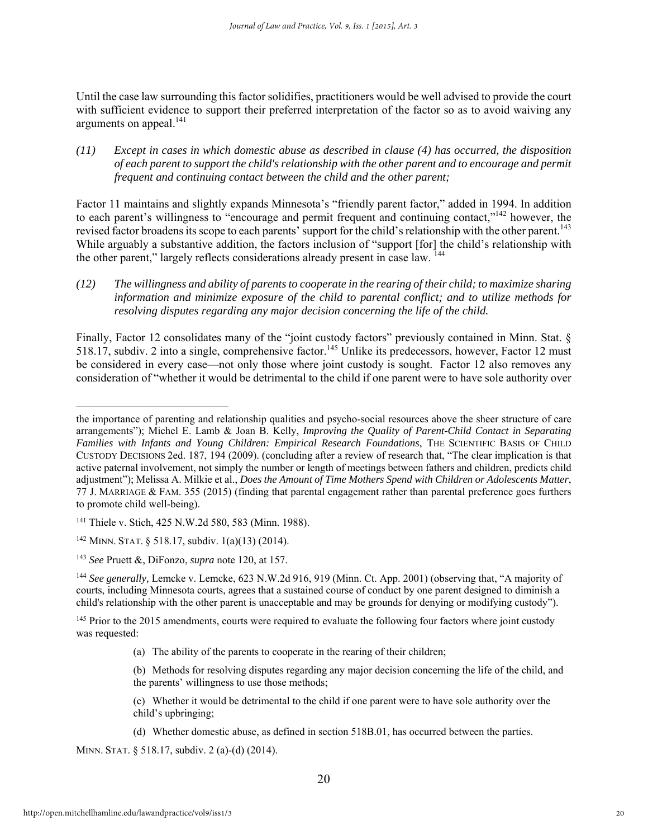Until the case law surrounding this factor solidifies, practitioners would be well advised to provide the court with sufficient evidence to support their preferred interpretation of the factor so as to avoid waiving any arguments on appeal.<sup>141</sup>

*(11) Except in cases in which domestic abuse as described in clause (4) has occurred, the disposition of each parent to support the child's relationship with the other parent and to encourage and permit frequent and continuing contact between the child and the other parent;* 

Factor 11 maintains and slightly expands Minnesota's "friendly parent factor," added in 1994. In addition to each parent's willingness to "encourage and permit frequent and continuing contact,"142 however, the revised factor broadens its scope to each parents' support for the child's relationship with the other parent.<sup>143</sup> While arguably a substantive addition, the factors inclusion of "support [for] the child's relationship with the other parent," largely reflects considerations already present in case law. <sup>144</sup>

*(12) The willingness and ability of parents to cooperate in the rearing of their child; to maximize sharing information and minimize exposure of the child to parental conflict; and to utilize methods for resolving disputes regarding any major decision concerning the life of the child.* 

Finally, Factor 12 consolidates many of the "joint custody factors" previously contained in Minn. Stat. § 518.17, subdiv. 2 into a single, comprehensive factor.<sup>145</sup> Unlike its predecessors, however, Factor 12 must be considered in every case—not only those where joint custody is sought. Factor 12 also removes any consideration of "whether it would be detrimental to the child if one parent were to have sole authority over

- (a) The ability of the parents to cooperate in the rearing of their children;
- (b) Methods for resolving disputes regarding any major decision concerning the life of the child, and the parents' willingness to use those methods;
- (c) Whether it would be detrimental to the child if one parent were to have sole authority over the child's upbringing;
- (d) Whether domestic abuse, as defined in section 518B.01, has occurred between the parties.

MINN. STAT. § 518.17, subdiv. 2 (a)-(d) (2014).

the importance of parenting and relationship qualities and psycho-social resources above the sheer structure of care arrangements"); Michel E. Lamb & Joan B. Kelly, *Improving the Quality of Parent-Child Contact in Separating Families with Infants and Young Children: Empirical Research Foundations*, THE SCIENTIFIC BASIS OF CHILD CUSTODY DECISIONS 2ed. 187, 194 (2009). (concluding after a review of research that, "The clear implication is that active paternal involvement, not simply the number or length of meetings between fathers and children, predicts child adjustment"); Melissa A. Milkie et al., *Does the Amount of Time Mothers Spend with Children or Adolescents Matter*, 77 J. MARRIAGE & FAM. 355 (2015) (finding that parental engagement rather than parental preference goes furthers to promote child well-being).

<sup>141</sup> Thiele v. Stich, 425 N.W.2d 580, 583 (Minn. 1988).

<sup>142</sup> MINN. STAT. § 518.17, subdiv. 1(a)(13) (2014).

<sup>143</sup> *See* Pruett &, DiFonzo, *supra* note 120, at 157.

<sup>&</sup>lt;sup>144</sup> See generally, Lemcke v. Lemcke, 623 N.W.2d 916, 919 (Minn. Ct. App. 2001) (observing that, "A majority of courts, including Minnesota courts, agrees that a sustained course of conduct by one parent designed to diminish a child's relationship with the other parent is unacceptable and may be grounds for denying or modifying custody").

<sup>&</sup>lt;sup>145</sup> Prior to the 2015 amendments, courts were required to evaluate the following four factors where joint custody was requested: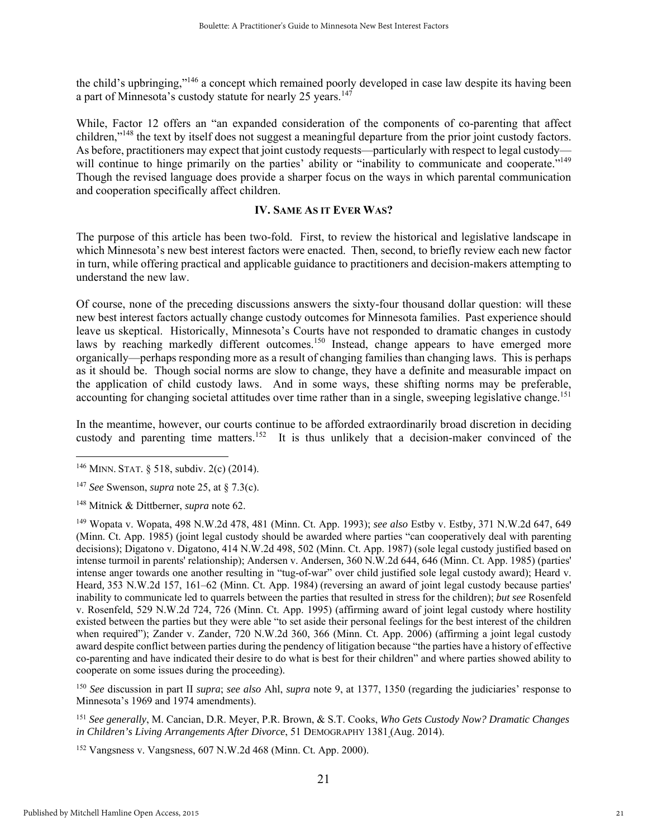the child's upbringing,"146 a concept which remained poorly developed in case law despite its having been a part of Minnesota's custody statute for nearly 25 years.<sup>147</sup>

While, Factor 12 offers an "an expanded consideration of the components of co-parenting that affect children,"148 the text by itself does not suggest a meaningful departure from the prior joint custody factors. As before, practitioners may expect that joint custody requests—particularly with respect to legal custody will continue to hinge primarily on the parties' ability or "inability to communicate and cooperate."<sup>149</sup> Though the revised language does provide a sharper focus on the ways in which parental communication and cooperation specifically affect children.

#### **IV. SAME AS IT EVER WAS?**

The purpose of this article has been two-fold. First, to review the historical and legislative landscape in which Minnesota's new best interest factors were enacted. Then, second, to briefly review each new factor in turn, while offering practical and applicable guidance to practitioners and decision-makers attempting to understand the new law.

Of course, none of the preceding discussions answers the sixty-four thousand dollar question: will these new best interest factors actually change custody outcomes for Minnesota families. Past experience should leave us skeptical. Historically, Minnesota's Courts have not responded to dramatic changes in custody laws by reaching markedly different outcomes.<sup>150</sup> Instead, change appears to have emerged more organically—perhaps responding more as a result of changing families than changing laws. This is perhaps as it should be. Though social norms are slow to change, they have a definite and measurable impact on the application of child custody laws. And in some ways, these shifting norms may be preferable, accounting for changing societal attitudes over time rather than in a single, sweeping legislative change.<sup>151</sup>

In the meantime, however, our courts continue to be afforded extraordinarily broad discretion in deciding custody and parenting time matters.<sup>152</sup> It is thus unlikely that a decision-maker convinced of the

 $\overline{a}$ 

<sup>147</sup> *See* Swenson, *supra* note 25, at § 7.3(c).

148 Mitnick & Dittberner, *supra* note 62.

149 Wopata v. Wopata, 498 N.W.2d 478, 481 (Minn. Ct. App. 1993); *see also* Estby v. Estby*,* 371 N.W.2d 647, 649 (Minn. Ct. App. 1985) (joint legal custody should be awarded where parties "can cooperatively deal with parenting decisions); Digatono v. Digatono*,* 414 N.W.2d 498, 502 (Minn. Ct. App. 1987) (sole legal custody justified based on intense turmoil in parents' relationship); Andersen v. Andersen*,* 360 N.W.2d 644, 646 (Minn. Ct. App. 1985) (parties' intense anger towards one another resulting in "tug-of-war" over child justified sole legal custody award); Heard v. Heard*,* 353 N.W.2d 157, 161–62 (Minn. Ct. App. 1984) (reversing an award of joint legal custody because parties' inability to communicate led to quarrels between the parties that resulted in stress for the children); *but see* Rosenfeld v. Rosenfeld, 529 N.W.2d 724, 726 (Minn. Ct. App. 1995) (affirming award of joint legal custody where hostility existed between the parties but they were able "to set aside their personal feelings for the best interest of the children when required"); Zander v. Zander, 720 N.W.2d 360, 366 (Minn. Ct. App. 2006) (affirming a joint legal custody award despite conflict between parties during the pendency of litigation because "the parties have a history of effective co-parenting and have indicated their desire to do what is best for their children" and where parties showed ability to cooperate on some issues during the proceeding).

<sup>150</sup> *See* discussion in part II *supra*; *see also* Ahl, *supra* note 9, at 1377, 1350 (regarding the judiciaries' response to Minnesota's 1969 and 1974 amendments).

<sup>151</sup> *See generally*, M. Cancian, D.R. Meyer, P.R. Brown, & S.T. Cooks, *Who Gets Custody Now? Dramatic Changes in Children's Living Arrangements After Divorce*, 51 DEMOGRAPHY 1381 (Aug. 2014).

152 Vangsness v. Vangsness, 607 N.W.2d 468 (Minn. Ct. App. 2000).

<sup>146</sup> MINN. STAT. § 518, subdiv. 2(c) (2014).